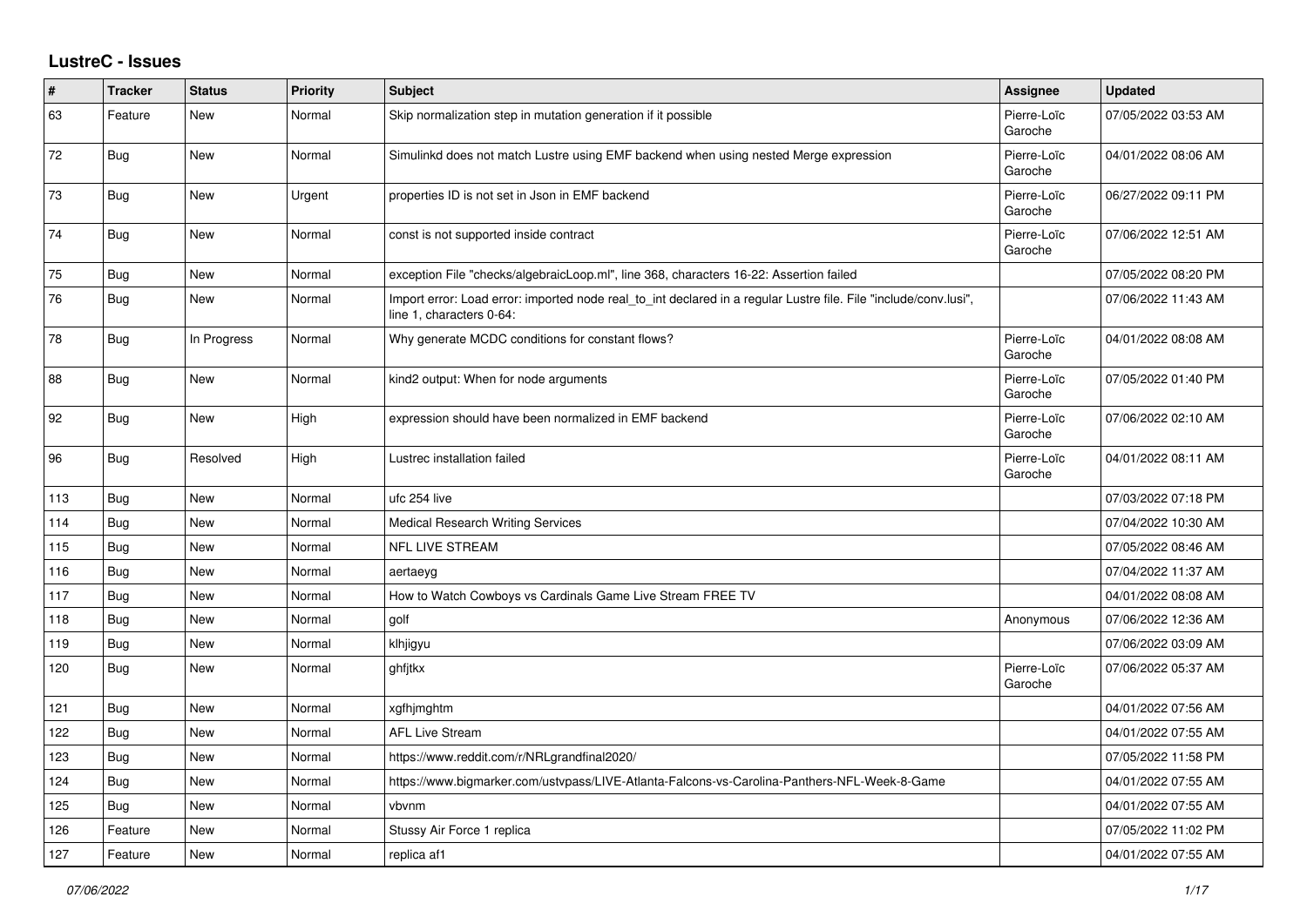## **LustreC - Issues**

| #   | <b>Tracker</b> | <b>Status</b> | <b>Priority</b> | <b>Subject</b>                                                                                                                               | Assignee               | <b>Updated</b>      |
|-----|----------------|---------------|-----------------|----------------------------------------------------------------------------------------------------------------------------------------------|------------------------|---------------------|
| 63  | Feature        | <b>New</b>    | Normal          | Skip normalization step in mutation generation if it possible                                                                                | Pierre-Loïc<br>Garoche | 07/05/2022 03:53 AM |
| 72  | Bug            | <b>New</b>    | Normal          | Simulinkd does not match Lustre using EMF backend when using nested Merge expression                                                         | Pierre-Loïc<br>Garoche | 04/01/2022 08:06 AM |
| 73  | <b>Bug</b>     | <b>New</b>    | Urgent          | properties ID is not set in Json in EMF backend                                                                                              | Pierre-Loïc<br>Garoche | 06/27/2022 09:11 PM |
| 74  | Bug            | <b>New</b>    | Normal          | const is not supported inside contract                                                                                                       | Pierre-Loïc<br>Garoche | 07/06/2022 12:51 AM |
| 75  | Bug            | <b>New</b>    | Normal          | exception File "checks/algebraicLoop.ml", line 368, characters 16-22: Assertion failed                                                       |                        | 07/05/2022 08:20 PM |
| 76  | Bug            | <b>New</b>    | Normal          | Import error: Load error: imported node real to int declared in a regular Lustre file. File "include/conv.lusi",<br>line 1, characters 0-64: |                        | 07/06/2022 11:43 AM |
| 78  | Bug            | In Progress   | Normal          | Why generate MCDC conditions for constant flows?                                                                                             | Pierre-Loïc<br>Garoche | 04/01/2022 08:08 AM |
| 88  | Bug            | New           | Normal          | kind2 output: When for node arguments                                                                                                        | Pierre-Loïc<br>Garoche | 07/05/2022 01:40 PM |
| 92  | Bug            | <b>New</b>    | High            | expression should have been normalized in EMF backend                                                                                        | Pierre-Loïc<br>Garoche | 07/06/2022 02:10 AM |
| 96  | Bug            | Resolved      | High            | Lustrec installation failed                                                                                                                  | Pierre-Loïc<br>Garoche | 04/01/2022 08:11 AM |
| 113 | <b>Bug</b>     | <b>New</b>    | Normal          | ufc 254 live                                                                                                                                 |                        | 07/03/2022 07:18 PM |
| 114 | Bug            | <b>New</b>    | Normal          | <b>Medical Research Writing Services</b>                                                                                                     |                        | 07/04/2022 10:30 AM |
| 115 | Bug            | <b>New</b>    | Normal          | <b>NFL LIVE STREAM</b>                                                                                                                       |                        | 07/05/2022 08:46 AM |
| 116 | Bug            | <b>New</b>    | Normal          | aertaeyg                                                                                                                                     |                        | 07/04/2022 11:37 AM |
| 117 | <b>Bug</b>     | <b>New</b>    | Normal          | How to Watch Cowboys vs Cardinals Game Live Stream FREE TV                                                                                   |                        | 04/01/2022 08:08 AM |
| 118 | Bug            | New           | Normal          | golf                                                                                                                                         | Anonymous              | 07/06/2022 12:36 AM |
| 119 | Bug            | <b>New</b>    | Normal          | klhjigyu                                                                                                                                     |                        | 07/06/2022 03:09 AM |
| 120 | <b>Bug</b>     | <b>New</b>    | Normal          | ghfjtkx                                                                                                                                      | Pierre-Loïc<br>Garoche | 07/06/2022 05:37 AM |
| 121 | Bug            | <b>New</b>    | Normal          | xgfhjmghtm                                                                                                                                   |                        | 04/01/2022 07:56 AM |
| 122 | <b>Bug</b>     | <b>New</b>    | Normal          | <b>AFL Live Stream</b>                                                                                                                       |                        | 04/01/2022 07:55 AM |
| 123 | Bug            | <b>New</b>    | Normal          | https://www.reddit.com/r/NRLgrandfinal2020/                                                                                                  |                        | 07/05/2022 11:58 PM |
| 124 | Bug            | <b>New</b>    | Normal          | https://www.bigmarker.com/ustvpass/LIVE-Atlanta-Falcons-vs-Carolina-Panthers-NFL-Week-8-Game                                                 |                        | 04/01/2022 07:55 AM |
| 125 | <b>Bug</b>     | <b>New</b>    | Normal          | vbvnm                                                                                                                                        |                        | 04/01/2022 07:55 AM |
| 126 | Feature        | <b>New</b>    | Normal          | Stussy Air Force 1 replica                                                                                                                   |                        | 07/05/2022 11:02 PM |
| 127 | Feature        | <b>New</b>    | Normal          | replica af1                                                                                                                                  |                        | 04/01/2022 07:55 AM |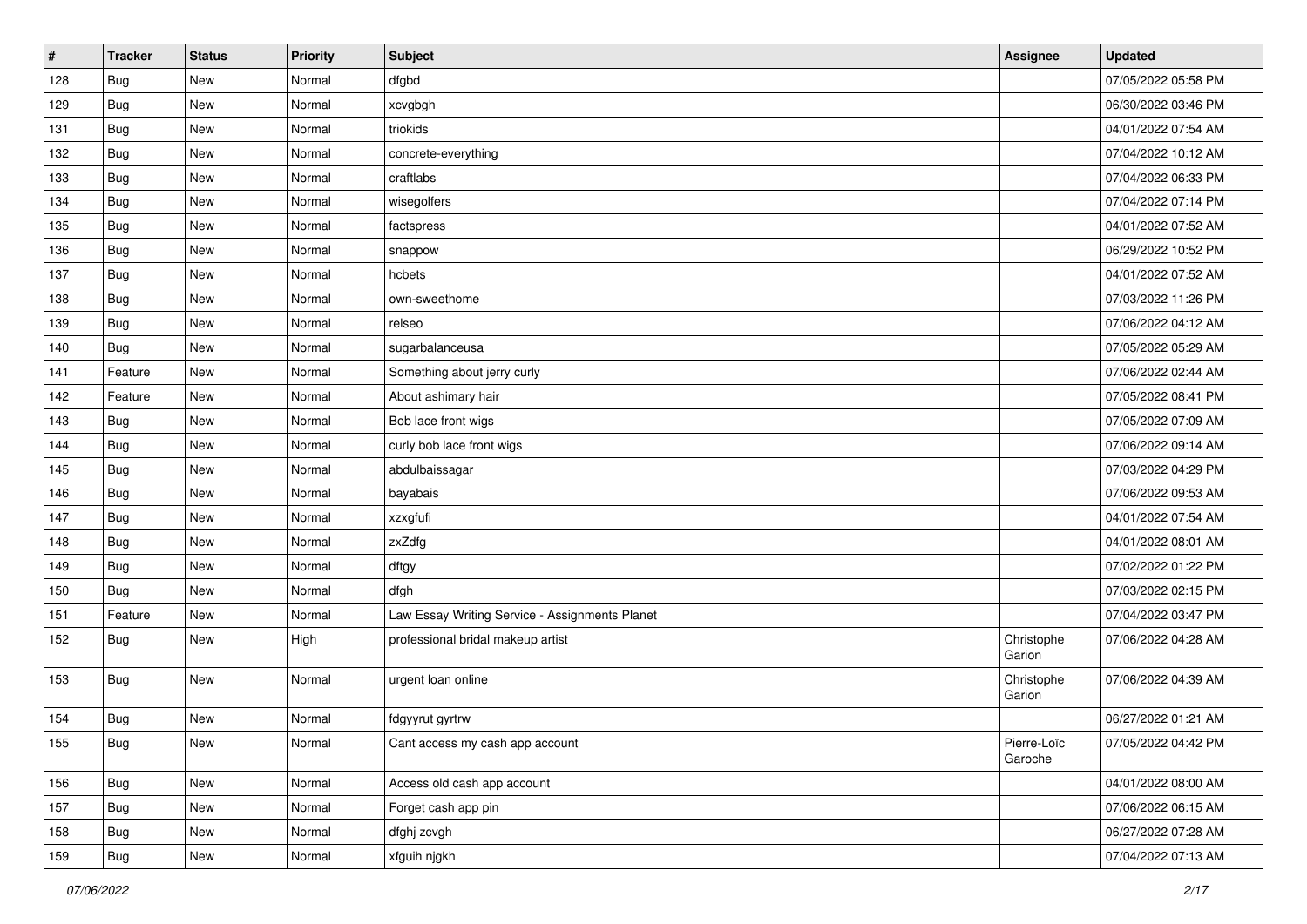| #   | <b>Tracker</b> | <b>Status</b> | <b>Priority</b> | Subject                                        | Assignee               | <b>Updated</b>      |
|-----|----------------|---------------|-----------------|------------------------------------------------|------------------------|---------------------|
| 128 | Bug            | New           | Normal          | dfgbd                                          |                        | 07/05/2022 05:58 PM |
| 129 | Bug            | New           | Normal          | xcvgbgh                                        |                        | 06/30/2022 03:46 PM |
| 131 | Bug            | New           | Normal          | triokids                                       |                        | 04/01/2022 07:54 AM |
| 132 | Bug            | New           | Normal          | concrete-everything                            |                        | 07/04/2022 10:12 AM |
| 133 | <b>Bug</b>     | New           | Normal          | craftlabs                                      |                        | 07/04/2022 06:33 PM |
| 134 | Bug            | New           | Normal          | wisegolfers                                    |                        | 07/04/2022 07:14 PM |
| 135 | Bug            | <b>New</b>    | Normal          | factspress                                     |                        | 04/01/2022 07:52 AM |
| 136 | Bug            | New           | Normal          | snappow                                        |                        | 06/29/2022 10:52 PM |
| 137 | Bug            | New           | Normal          | hcbets                                         |                        | 04/01/2022 07:52 AM |
| 138 | <b>Bug</b>     | <b>New</b>    | Normal          | own-sweethome                                  |                        | 07/03/2022 11:26 PM |
| 139 | Bug            | New           | Normal          | relseo                                         |                        | 07/06/2022 04:12 AM |
| 140 | Bug            | New           | Normal          | sugarbalanceusa                                |                        | 07/05/2022 05:29 AM |
| 141 | Feature        | New           | Normal          | Something about jerry curly                    |                        | 07/06/2022 02:44 AM |
| 142 | Feature        | <b>New</b>    | Normal          | About ashimary hair                            |                        | 07/05/2022 08:41 PM |
| 143 | Bug            | New           | Normal          | Bob lace front wigs                            |                        | 07/05/2022 07:09 AM |
| 144 | Bug            | New           | Normal          | curly bob lace front wigs                      |                        | 07/06/2022 09:14 AM |
| 145 | Bug            | New           | Normal          | abdulbaissagar                                 |                        | 07/03/2022 04:29 PM |
| 146 | <b>Bug</b>     | New           | Normal          | bayabais                                       |                        | 07/06/2022 09:53 AM |
| 147 | Bug            | New           | Normal          | xzxgfufi                                       |                        | 04/01/2022 07:54 AM |
| 148 | <b>Bug</b>     | <b>New</b>    | Normal          | zxZdfg                                         |                        | 04/01/2022 08:01 AM |
| 149 | Bug            | New           | Normal          | dftgy                                          |                        | 07/02/2022 01:22 PM |
| 150 | Bug            | New           | Normal          | dfgh                                           |                        | 07/03/2022 02:15 PM |
| 151 | Feature        | New           | Normal          | Law Essay Writing Service - Assignments Planet |                        | 07/04/2022 03:47 PM |
| 152 | Bug            | New           | High            | professional bridal makeup artist              | Christophe<br>Garion   | 07/06/2022 04:28 AM |
| 153 | <b>Bug</b>     | New           | Normal          | urgent loan online                             | Christophe<br>Garion   | 07/06/2022 04:39 AM |
| 154 | <b>Bug</b>     | <b>New</b>    | Normal          | fdgyyrut gyrtrw                                |                        | 06/27/2022 01:21 AM |
| 155 | <b>Bug</b>     | New           | Normal          | Cant access my cash app account                | Pierre-Loïc<br>Garoche | 07/05/2022 04:42 PM |
| 156 | <b>Bug</b>     | New           | Normal          | Access old cash app account                    |                        | 04/01/2022 08:00 AM |
| 157 | Bug            | New           | Normal          | Forget cash app pin                            |                        | 07/06/2022 06:15 AM |
| 158 | <b>Bug</b>     | New           | Normal          | dfghj zcvgh                                    |                        | 06/27/2022 07:28 AM |
| 159 | Bug            | New           | Normal          | xfguih njgkh                                   |                        | 07/04/2022 07:13 AM |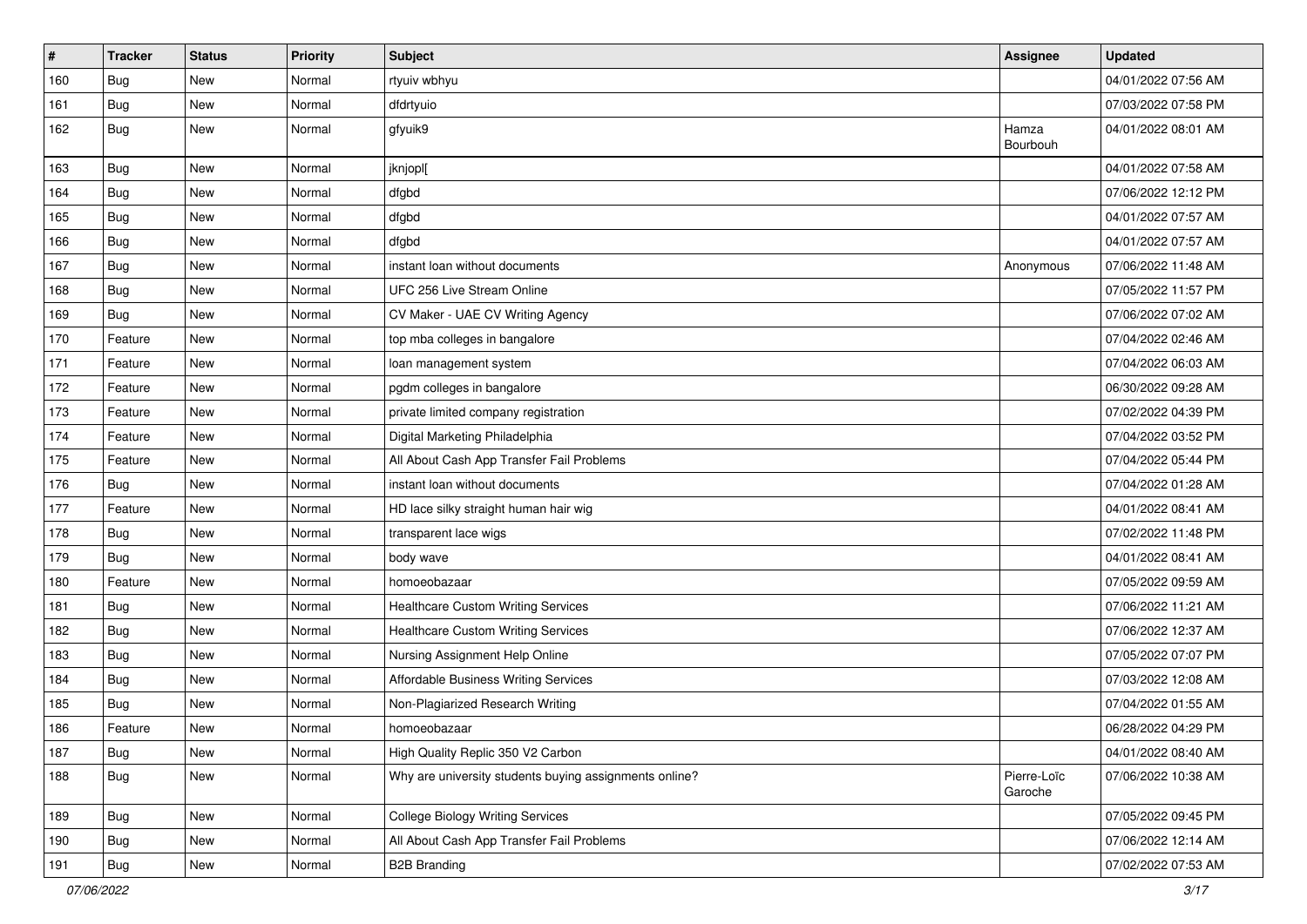| #   | <b>Tracker</b> | <b>Status</b> | <b>Priority</b> | <b>Subject</b>                                         | Assignee               | <b>Updated</b>      |
|-----|----------------|---------------|-----------------|--------------------------------------------------------|------------------------|---------------------|
| 160 | Bug            | New           | Normal          | rtyuiv wbhyu                                           |                        | 04/01/2022 07:56 AM |
| 161 | Bug            | <b>New</b>    | Normal          | dfdrtyuio                                              |                        | 07/03/2022 07:58 PM |
| 162 | <b>Bug</b>     | New           | Normal          | gfyuik9                                                | Hamza<br>Bourbouh      | 04/01/2022 08:01 AM |
| 163 | <b>Bug</b>     | <b>New</b>    | Normal          | jknjopl[                                               |                        | 04/01/2022 07:58 AM |
| 164 | <b>Bug</b>     | New           | Normal          | dfgbd                                                  |                        | 07/06/2022 12:12 PM |
| 165 | Bug            | New           | Normal          | dfgbd                                                  |                        | 04/01/2022 07:57 AM |
| 166 | Bug            | New           | Normal          | dfgbd                                                  |                        | 04/01/2022 07:57 AM |
| 167 | Bug            | New           | Normal          | instant loan without documents                         | Anonymous              | 07/06/2022 11:48 AM |
| 168 | Bug            | <b>New</b>    | Normal          | UFC 256 Live Stream Online                             |                        | 07/05/2022 11:57 PM |
| 169 | Bug            | New           | Normal          | CV Maker - UAE CV Writing Agency                       |                        | 07/06/2022 07:02 AM |
| 170 | Feature        | <b>New</b>    | Normal          | top mba colleges in bangalore                          |                        | 07/04/2022 02:46 AM |
| 171 | Feature        | New           | Normal          | loan management system                                 |                        | 07/04/2022 06:03 AM |
| 172 | Feature        | New           | Normal          | pgdm colleges in bangalore                             |                        | 06/30/2022 09:28 AM |
| 173 | Feature        | New           | Normal          | private limited company registration                   |                        | 07/02/2022 04:39 PM |
| 174 | Feature        | New           | Normal          | Digital Marketing Philadelphia                         |                        | 07/04/2022 03:52 PM |
| 175 | Feature        | New           | Normal          | All About Cash App Transfer Fail Problems              |                        | 07/04/2022 05:44 PM |
| 176 | Bug            | <b>New</b>    | Normal          | instant loan without documents                         |                        | 07/04/2022 01:28 AM |
| 177 | Feature        | New           | Normal          | HD lace silky straight human hair wig                  |                        | 04/01/2022 08:41 AM |
| 178 | Bug            | New           | Normal          | transparent lace wigs                                  |                        | 07/02/2022 11:48 PM |
| 179 | Bug            | New           | Normal          | body wave                                              |                        | 04/01/2022 08:41 AM |
| 180 | Feature        | New           | Normal          | homoeobazaar                                           |                        | 07/05/2022 09:59 AM |
| 181 | <b>Bug</b>     | New           | Normal          | <b>Healthcare Custom Writing Services</b>              |                        | 07/06/2022 11:21 AM |
| 182 | Bug            | New           | Normal          | Healthcare Custom Writing Services                     |                        | 07/06/2022 12:37 AM |
| 183 | <b>Bug</b>     | <b>New</b>    | Normal          | Nursing Assignment Help Online                         |                        | 07/05/2022 07:07 PM |
| 184 | <b>Bug</b>     | <b>New</b>    | Normal          | <b>Affordable Business Writing Services</b>            |                        | 07/03/2022 12:08 AM |
| 185 | Bug            | New           | Normal          | Non-Plagiarized Research Writing                       |                        | 07/04/2022 01:55 AM |
| 186 | Feature        | New           | Normal          | homoeobazaar                                           |                        | 06/28/2022 04:29 PM |
| 187 | Bug            | New           | Normal          | High Quality Replic 350 V2 Carbon                      |                        | 04/01/2022 08:40 AM |
| 188 | <b>Bug</b>     | New           | Normal          | Why are university students buying assignments online? | Pierre-Loïc<br>Garoche | 07/06/2022 10:38 AM |
| 189 | Bug            | New           | Normal          | <b>College Biology Writing Services</b>                |                        | 07/05/2022 09:45 PM |
| 190 | Bug            | New           | Normal          | All About Cash App Transfer Fail Problems              |                        | 07/06/2022 12:14 AM |
| 191 | Bug            | New           | Normal          | <b>B2B Branding</b>                                    |                        | 07/02/2022 07:53 AM |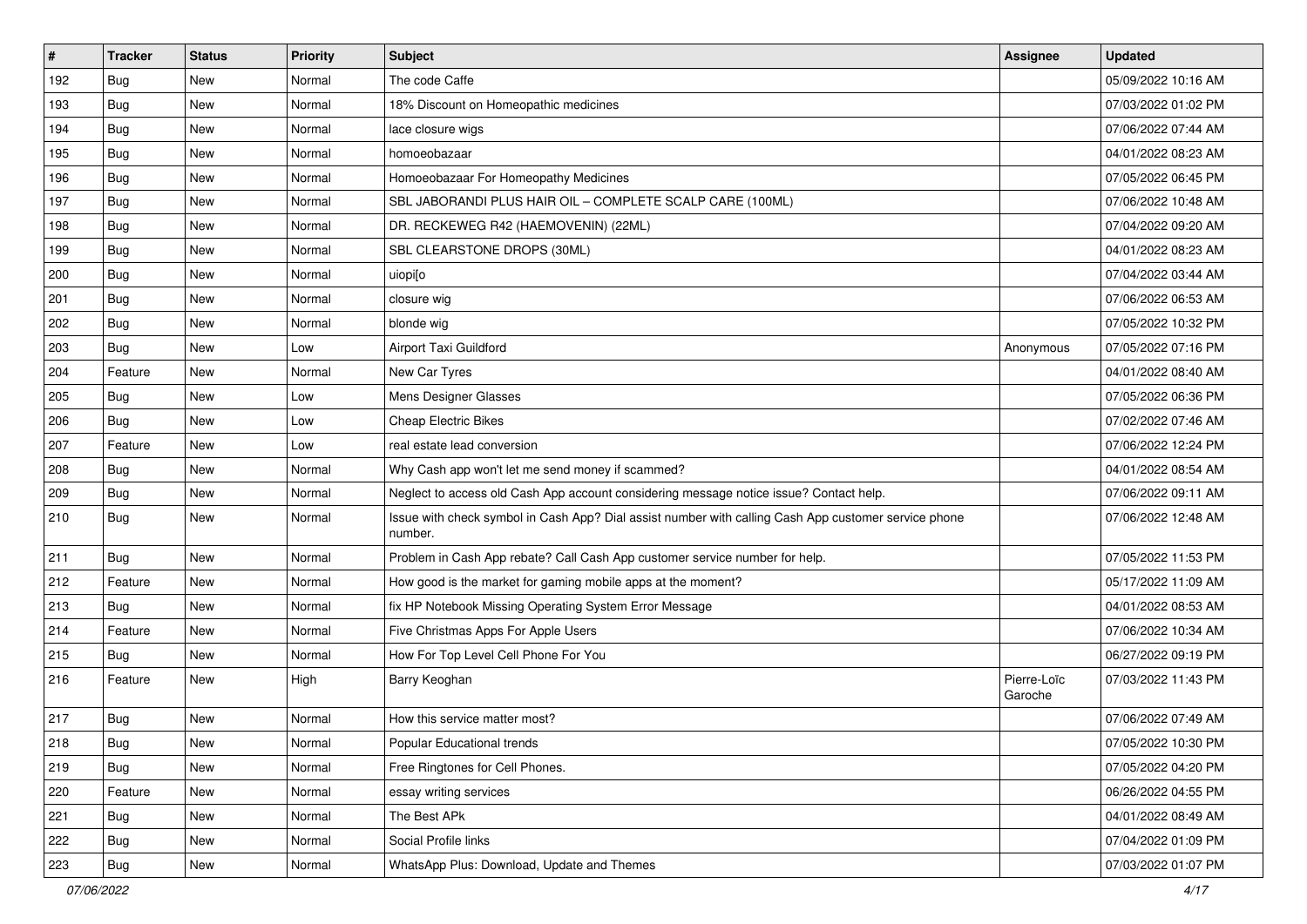| $\#$ | <b>Tracker</b> | <b>Status</b> | <b>Priority</b> | Subject                                                                                                         | <b>Assignee</b>        | <b>Updated</b>      |
|------|----------------|---------------|-----------------|-----------------------------------------------------------------------------------------------------------------|------------------------|---------------------|
| 192  | Bug            | New           | Normal          | The code Caffe                                                                                                  |                        | 05/09/2022 10:16 AM |
| 193  | <b>Bug</b>     | <b>New</b>    | Normal          | 18% Discount on Homeopathic medicines                                                                           |                        | 07/03/2022 01:02 PM |
| 194  | <b>Bug</b>     | New           | Normal          | lace closure wigs                                                                                               |                        | 07/06/2022 07:44 AM |
| 195  | Bug            | New           | Normal          | homoeobazaar                                                                                                    |                        | 04/01/2022 08:23 AM |
| 196  | <b>Bug</b>     | <b>New</b>    | Normal          | Homoeobazaar For Homeopathy Medicines                                                                           |                        | 07/05/2022 06:45 PM |
| 197  | Bug            | New           | Normal          | SBL JABORANDI PLUS HAIR OIL - COMPLETE SCALP CARE (100ML)                                                       |                        | 07/06/2022 10:48 AM |
| 198  | <b>Bug</b>     | <b>New</b>    | Normal          | DR. RECKEWEG R42 (HAEMOVENIN) (22ML)                                                                            |                        | 07/04/2022 09:20 AM |
| 199  | <b>Bug</b>     | New           | Normal          | SBL CLEARSTONE DROPS (30ML)                                                                                     |                        | 04/01/2022 08:23 AM |
| 200  | Bug            | New           | Normal          | uiopilo                                                                                                         |                        | 07/04/2022 03:44 AM |
| 201  | <b>Bug</b>     | New           | Normal          | closure wig                                                                                                     |                        | 07/06/2022 06:53 AM |
| 202  | <b>Bug</b>     | New           | Normal          | blonde wig                                                                                                      |                        | 07/05/2022 10:32 PM |
| 203  | Bug            | New           | Low             | Airport Taxi Guildford                                                                                          | Anonymous              | 07/05/2022 07:16 PM |
| 204  | Feature        | New           | Normal          | New Car Tyres                                                                                                   |                        | 04/01/2022 08:40 AM |
| 205  | <b>Bug</b>     | New           | Low             | Mens Designer Glasses                                                                                           |                        | 07/05/2022 06:36 PM |
| 206  | Bug            | New           | Low             | <b>Cheap Electric Bikes</b>                                                                                     |                        | 07/02/2022 07:46 AM |
| 207  | Feature        | New           | Low             | real estate lead conversion                                                                                     |                        | 07/06/2022 12:24 PM |
| 208  | Bug            | New           | Normal          | Why Cash app won't let me send money if scammed?                                                                |                        | 04/01/2022 08:54 AM |
| 209  | Bug            | New           | Normal          | Neglect to access old Cash App account considering message notice issue? Contact help.                          |                        | 07/06/2022 09:11 AM |
| 210  | Bug            | New           | Normal          | Issue with check symbol in Cash App? Dial assist number with calling Cash App customer service phone<br>number. |                        | 07/06/2022 12:48 AM |
| 211  | Bug            | New           | Normal          | Problem in Cash App rebate? Call Cash App customer service number for help.                                     |                        | 07/05/2022 11:53 PM |
| 212  | Feature        | New           | Normal          | How good is the market for gaming mobile apps at the moment?                                                    |                        | 05/17/2022 11:09 AM |
| 213  | Bug            | New           | Normal          | fix HP Notebook Missing Operating System Error Message                                                          |                        | 04/01/2022 08:53 AM |
| 214  | Feature        | New           | Normal          | Five Christmas Apps For Apple Users                                                                             |                        | 07/06/2022 10:34 AM |
| 215  | Bug            | New           | Normal          | How For Top Level Cell Phone For You                                                                            |                        | 06/27/2022 09:19 PM |
| 216  | Feature        | New           | High            | Barry Keoghan                                                                                                   | Pierre-Loïc<br>Garoche | 07/03/2022 11:43 PM |
| 217  | <b>Bug</b>     | <b>New</b>    | Normal          | How this service matter most?                                                                                   |                        | 07/06/2022 07:49 AM |
| 218  | Bug            | New           | Normal          | Popular Educational trends                                                                                      |                        | 07/05/2022 10:30 PM |
| 219  | Bug            | New           | Normal          | Free Ringtones for Cell Phones.                                                                                 |                        | 07/05/2022 04:20 PM |
| 220  | Feature        | New           | Normal          | essay writing services                                                                                          |                        | 06/26/2022 04:55 PM |
| 221  | Bug            | New           | Normal          | The Best APk                                                                                                    |                        | 04/01/2022 08:49 AM |
| 222  | <b>Bug</b>     | New           | Normal          | Social Profile links                                                                                            |                        | 07/04/2022 01:09 PM |
| 223  | <b>Bug</b>     | New           | Normal          | WhatsApp Plus: Download, Update and Themes                                                                      |                        | 07/03/2022 01:07 PM |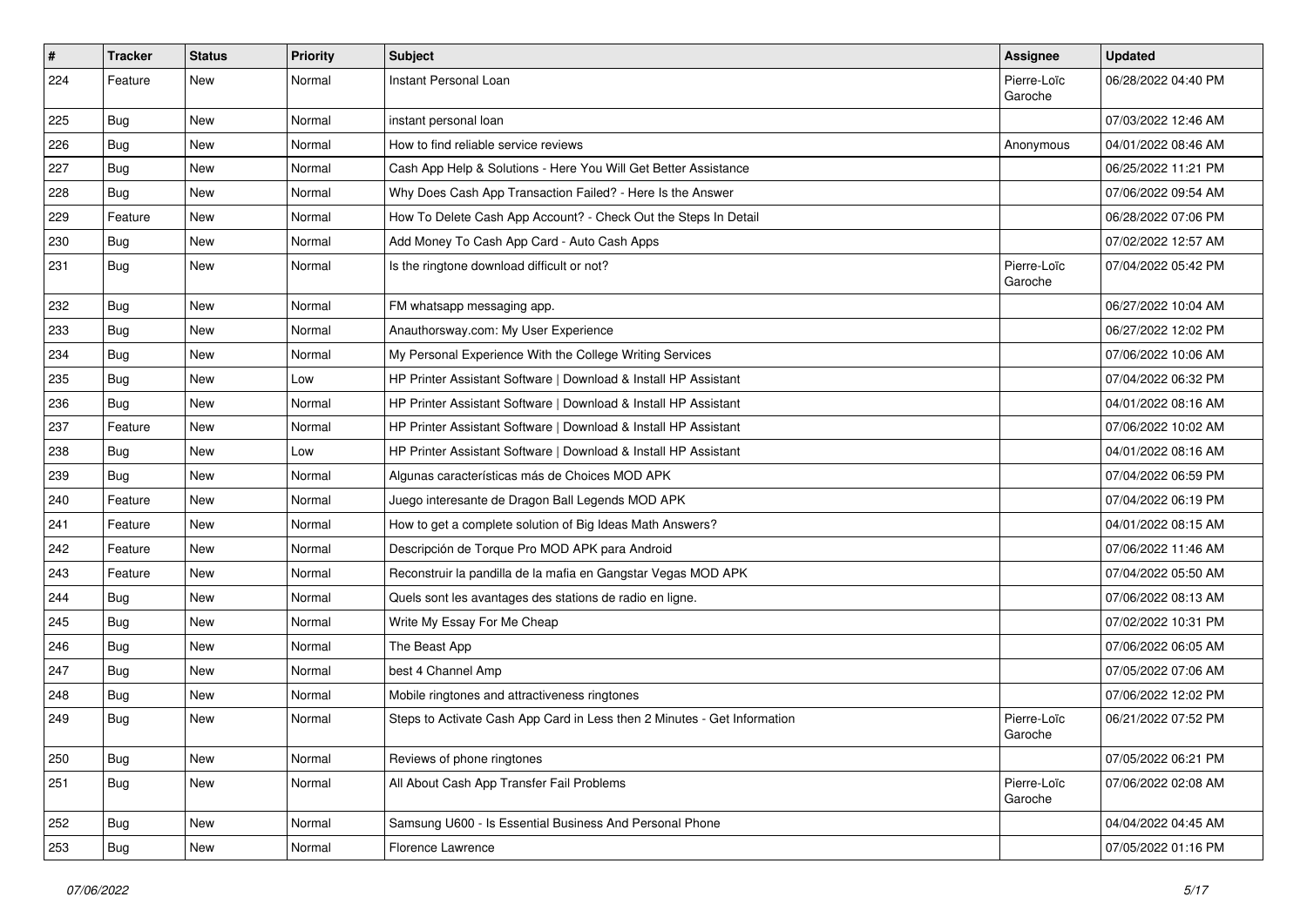| #   | <b>Tracker</b> | <b>Status</b> | <b>Priority</b> | Subject                                                                  | Assignee               | <b>Updated</b>      |
|-----|----------------|---------------|-----------------|--------------------------------------------------------------------------|------------------------|---------------------|
| 224 | Feature        | New           | Normal          | Instant Personal Loan                                                    | Pierre-Loïc<br>Garoche | 06/28/2022 04:40 PM |
| 225 | <b>Bug</b>     | <b>New</b>    | Normal          | instant personal loan                                                    |                        | 07/03/2022 12:46 AM |
| 226 | <b>Bug</b>     | <b>New</b>    | Normal          | How to find reliable service reviews                                     | Anonymous              | 04/01/2022 08:46 AM |
| 227 | Bug            | <b>New</b>    | Normal          | Cash App Help & Solutions - Here You Will Get Better Assistance          |                        | 06/25/2022 11:21 PM |
| 228 | Bug            | <b>New</b>    | Normal          | Why Does Cash App Transaction Failed? - Here Is the Answer               |                        | 07/06/2022 09:54 AM |
| 229 | Feature        | <b>New</b>    | Normal          | How To Delete Cash App Account? - Check Out the Steps In Detail          |                        | 06/28/2022 07:06 PM |
| 230 | Bug            | New           | Normal          | Add Money To Cash App Card - Auto Cash Apps                              |                        | 07/02/2022 12:57 AM |
| 231 | <b>Bug</b>     | New           | Normal          | Is the ringtone download difficult or not?                               | Pierre-Loïc<br>Garoche | 07/04/2022 05:42 PM |
| 232 | <b>Bug</b>     | <b>New</b>    | Normal          | FM whatsapp messaging app.                                               |                        | 06/27/2022 10:04 AM |
| 233 | <b>Bug</b>     | <b>New</b>    | Normal          | Anauthorsway.com: My User Experience                                     |                        | 06/27/2022 12:02 PM |
| 234 | Bug            | <b>New</b>    | Normal          | My Personal Experience With the College Writing Services                 |                        | 07/06/2022 10:06 AM |
| 235 | Bug            | <b>New</b>    | Low             | HP Printer Assistant Software   Download & Install HP Assistant          |                        | 07/04/2022 06:32 PM |
| 236 | <b>Bug</b>     | <b>New</b>    | Normal          | HP Printer Assistant Software   Download & Install HP Assistant          |                        | 04/01/2022 08:16 AM |
| 237 | Feature        | New           | Normal          | HP Printer Assistant Software   Download & Install HP Assistant          |                        | 07/06/2022 10:02 AM |
| 238 | <b>Bug</b>     | <b>New</b>    | Low             | HP Printer Assistant Software   Download & Install HP Assistant          |                        | 04/01/2022 08:16 AM |
| 239 | Bug            | <b>New</b>    | Normal          | Algunas características más de Choices MOD APK                           |                        | 07/04/2022 06:59 PM |
| 240 | Feature        | <b>New</b>    | Normal          | Juego interesante de Dragon Ball Legends MOD APK                         |                        | 07/04/2022 06:19 PM |
| 241 | Feature        | <b>New</b>    | Normal          | How to get a complete solution of Big Ideas Math Answers?                |                        | 04/01/2022 08:15 AM |
| 242 | Feature        | New           | Normal          | Descripción de Torque Pro MOD APK para Android                           |                        | 07/06/2022 11:46 AM |
| 243 | Feature        | <b>New</b>    | Normal          | Reconstruir la pandilla de la mafia en Gangstar Vegas MOD APK            |                        | 07/04/2022 05:50 AM |
| 244 | Bug            | <b>New</b>    | Normal          | Quels sont les avantages des stations de radio en ligne.                 |                        | 07/06/2022 08:13 AM |
| 245 | <b>Bug</b>     | <b>New</b>    | Normal          | Write My Essay For Me Cheap                                              |                        | 07/02/2022 10:31 PM |
| 246 | <b>Bug</b>     | <b>New</b>    | Normal          | The Beast App                                                            |                        | 07/06/2022 06:05 AM |
| 247 | <b>Bug</b>     | New           | Normal          | best 4 Channel Amp                                                       |                        | 07/05/2022 07:06 AM |
| 248 | <b>Bug</b>     | <b>New</b>    | Normal          | Mobile ringtones and attractiveness ringtones                            |                        | 07/06/2022 12:02 PM |
| 249 | <b>Bug</b>     | <b>New</b>    | Normal          | Steps to Activate Cash App Card in Less then 2 Minutes - Get Information | Pierre-Loïc<br>Garoche | 06/21/2022 07:52 PM |
| 250 | Bug            | New           | Normal          | Reviews of phone ringtones                                               |                        | 07/05/2022 06:21 PM |
| 251 | <b>Bug</b>     | New           | Normal          | All About Cash App Transfer Fail Problems                                | Pierre-Loïc<br>Garoche | 07/06/2022 02:08 AM |
| 252 | <b>Bug</b>     | New           | Normal          | Samsung U600 - Is Essential Business And Personal Phone                  |                        | 04/04/2022 04:45 AM |
| 253 | <b>Bug</b>     | New           | Normal          | Florence Lawrence                                                        |                        | 07/05/2022 01:16 PM |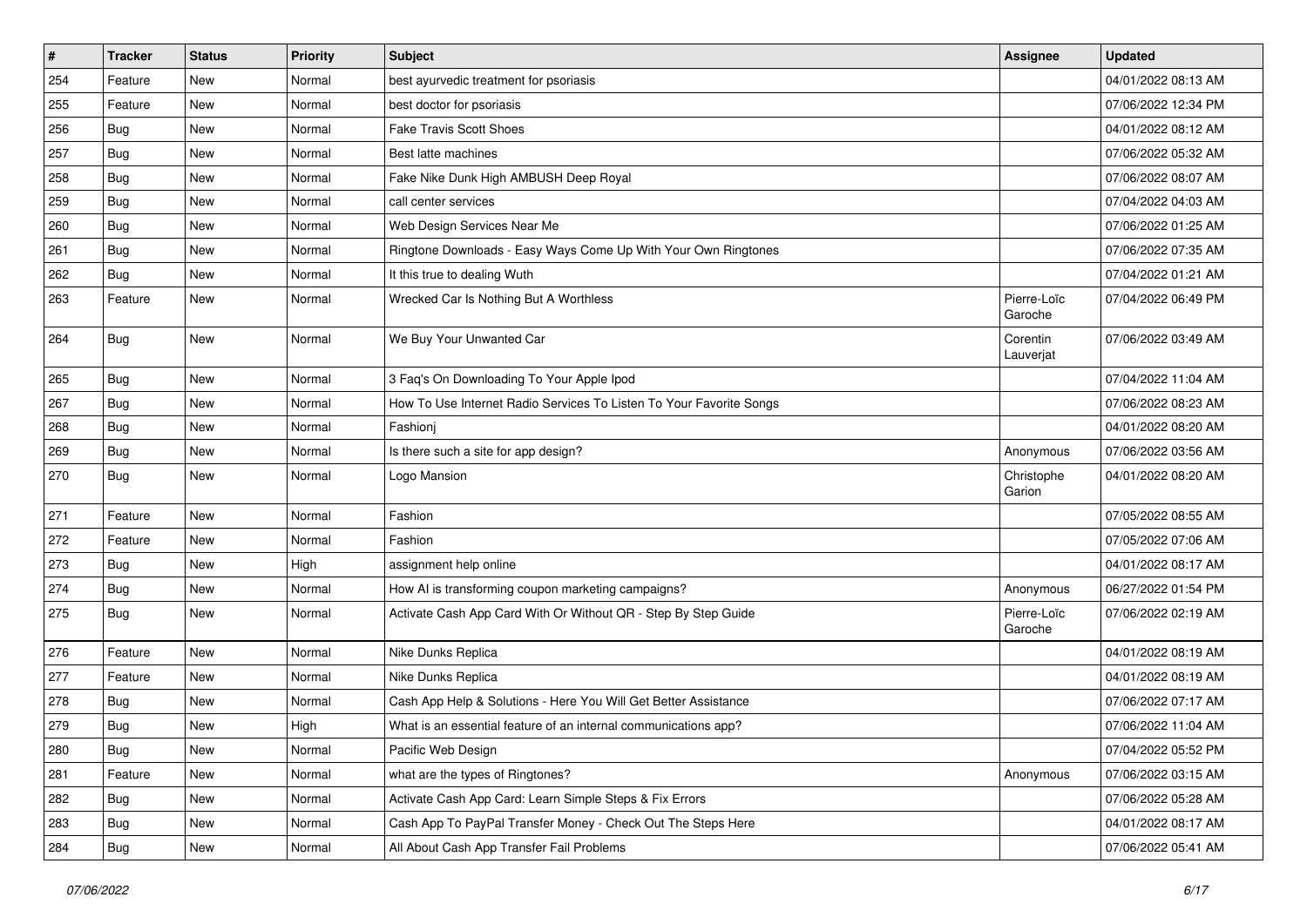| $\#$ | <b>Tracker</b> | <b>Status</b> | <b>Priority</b> | Subject                                                             | <b>Assignee</b>        | <b>Updated</b>      |
|------|----------------|---------------|-----------------|---------------------------------------------------------------------|------------------------|---------------------|
| 254  | Feature        | New           | Normal          | best ayurvedic treatment for psoriasis                              |                        | 04/01/2022 08:13 AM |
| 255  | Feature        | New           | Normal          | best doctor for psoriasis                                           |                        | 07/06/2022 12:34 PM |
| 256  | Bug            | New           | Normal          | <b>Fake Travis Scott Shoes</b>                                      |                        | 04/01/2022 08:12 AM |
| 257  | Bug            | New           | Normal          | Best latte machines                                                 |                        | 07/06/2022 05:32 AM |
| 258  | <b>Bug</b>     | New           | Normal          | Fake Nike Dunk High AMBUSH Deep Royal                               |                        | 07/06/2022 08:07 AM |
| 259  | Bug            | New           | Normal          | call center services                                                |                        | 07/04/2022 04:03 AM |
| 260  | <b>Bug</b>     | <b>New</b>    | Normal          | Web Design Services Near Me                                         |                        | 07/06/2022 01:25 AM |
| 261  | <b>Bug</b>     | New           | Normal          | Ringtone Downloads - Easy Ways Come Up With Your Own Ringtones      |                        | 07/06/2022 07:35 AM |
| 262  | Bug            | New           | Normal          | It this true to dealing Wuth                                        |                        | 07/04/2022 01:21 AM |
| 263  | Feature        | New           | Normal          | Wrecked Car Is Nothing But A Worthless                              | Pierre-Loïc<br>Garoche | 07/04/2022 06:49 PM |
| 264  | <b>Bug</b>     | New           | Normal          | We Buy Your Unwanted Car                                            | Corentin<br>Lauverjat  | 07/06/2022 03:49 AM |
| 265  | Bug            | New           | Normal          | 3 Faq's On Downloading To Your Apple Ipod                           |                        | 07/04/2022 11:04 AM |
| 267  | <b>Bug</b>     | <b>New</b>    | Normal          | How To Use Internet Radio Services To Listen To Your Favorite Songs |                        | 07/06/2022 08:23 AM |
| 268  | Bug            | New           | Normal          | Fashioni                                                            |                        | 04/01/2022 08:20 AM |
| 269  | Bug            | New           | Normal          | Is there such a site for app design?                                | Anonymous              | 07/06/2022 03:56 AM |
| 270  | <b>Bug</b>     | New           | Normal          | Logo Mansion                                                        | Christophe<br>Garion   | 04/01/2022 08:20 AM |
| 271  | Feature        | New           | Normal          | Fashion                                                             |                        | 07/05/2022 08:55 AM |
| 272  | Feature        | New           | Normal          | Fashion                                                             |                        | 07/05/2022 07:06 AM |
| 273  | Bug            | New           | High            | assignment help online                                              |                        | 04/01/2022 08:17 AM |
| 274  | Bug            | New           | Normal          | How AI is transforming coupon marketing campaigns?                  | Anonymous              | 06/27/2022 01:54 PM |
| 275  | <b>Bug</b>     | New           | Normal          | Activate Cash App Card With Or Without QR - Step By Step Guide      | Pierre-Loïc<br>Garoche | 07/06/2022 02:19 AM |
| 276  | Feature        | New           | Normal          | Nike Dunks Replica                                                  |                        | 04/01/2022 08:19 AM |
| 277  | Feature        | New           | Normal          | Nike Dunks Replica                                                  |                        | 04/01/2022 08:19 AM |
| 278  | Bug            | New           | Normal          | Cash App Help & Solutions - Here You Will Get Better Assistance     |                        | 07/06/2022 07:17 AM |
| 279  | <b>Bug</b>     | New           | High            | What is an essential feature of an internal communications app?     |                        | 07/06/2022 11:04 AM |
| 280  | <b>Bug</b>     | New           | Normal          | Pacific Web Design                                                  |                        | 07/04/2022 05:52 PM |
| 281  | Feature        | New           | Normal          | what are the types of Ringtones?                                    | Anonymous              | 07/06/2022 03:15 AM |
| 282  | <b>Bug</b>     | New           | Normal          | Activate Cash App Card: Learn Simple Steps & Fix Errors             |                        | 07/06/2022 05:28 AM |
| 283  | <b>Bug</b>     | New           | Normal          | Cash App To PayPal Transfer Money - Check Out The Steps Here        |                        | 04/01/2022 08:17 AM |
| 284  | <b>Bug</b>     | New           | Normal          | All About Cash App Transfer Fail Problems                           |                        | 07/06/2022 05:41 AM |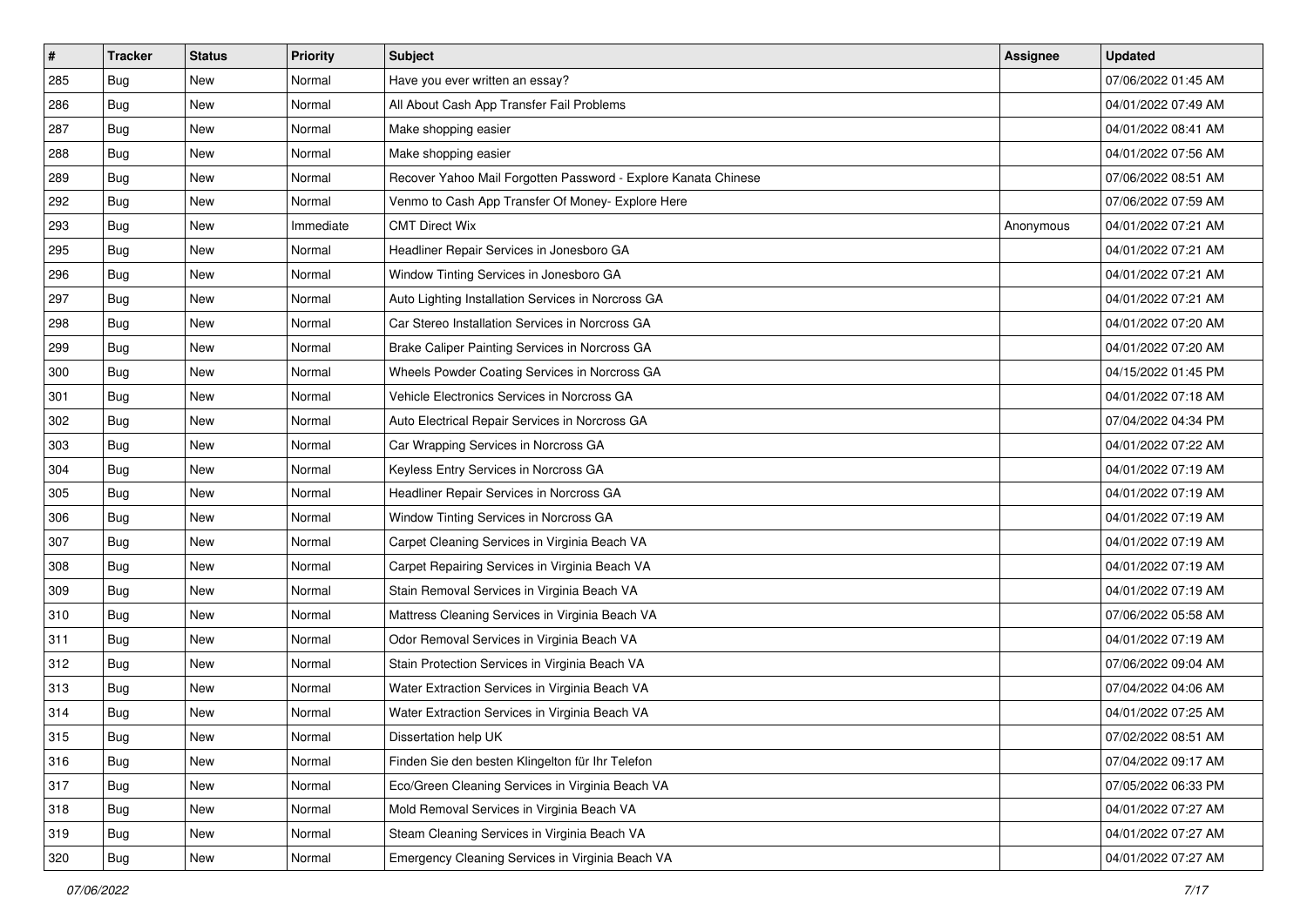| #   | <b>Tracker</b> | <b>Status</b> | <b>Priority</b> | <b>Subject</b>                                                 | <b>Assignee</b> | <b>Updated</b>      |
|-----|----------------|---------------|-----------------|----------------------------------------------------------------|-----------------|---------------------|
| 285 | <b>Bug</b>     | New           | Normal          | Have you ever written an essay?                                |                 | 07/06/2022 01:45 AM |
| 286 | <b>Bug</b>     | <b>New</b>    | Normal          | All About Cash App Transfer Fail Problems                      |                 | 04/01/2022 07:49 AM |
| 287 | Bug            | New           | Normal          | Make shopping easier                                           |                 | 04/01/2022 08:41 AM |
| 288 | Bug            | New           | Normal          | Make shopping easier                                           |                 | 04/01/2022 07:56 AM |
| 289 | <b>Bug</b>     | New           | Normal          | Recover Yahoo Mail Forgotten Password - Explore Kanata Chinese |                 | 07/06/2022 08:51 AM |
| 292 | <b>Bug</b>     | New           | Normal          | Venmo to Cash App Transfer Of Money- Explore Here              |                 | 07/06/2022 07:59 AM |
| 293 | Bug            | New           | Immediate       | <b>CMT Direct Wix</b>                                          | Anonymous       | 04/01/2022 07:21 AM |
| 295 | Bug            | New           | Normal          | Headliner Repair Services in Jonesboro GA                      |                 | 04/01/2022 07:21 AM |
| 296 | Bug            | New           | Normal          | Window Tinting Services in Jonesboro GA                        |                 | 04/01/2022 07:21 AM |
| 297 | <b>Bug</b>     | New           | Normal          | Auto Lighting Installation Services in Norcross GA             |                 | 04/01/2022 07:21 AM |
| 298 | <b>Bug</b>     | New           | Normal          | Car Stereo Installation Services in Norcross GA                |                 | 04/01/2022 07:20 AM |
| 299 | Bug            | New           | Normal          | Brake Caliper Painting Services in Norcross GA                 |                 | 04/01/2022 07:20 AM |
| 300 | Bug            | New           | Normal          | Wheels Powder Coating Services in Norcross GA                  |                 | 04/15/2022 01:45 PM |
| 301 | Bug            | New           | Normal          | Vehicle Electronics Services in Norcross GA                    |                 | 04/01/2022 07:18 AM |
| 302 | <b>Bug</b>     | New           | Normal          | Auto Electrical Repair Services in Norcross GA                 |                 | 07/04/2022 04:34 PM |
| 303 | Bug            | New           | Normal          | Car Wrapping Services in Norcross GA                           |                 | 04/01/2022 07:22 AM |
| 304 | Bug            | New           | Normal          | Keyless Entry Services in Norcross GA                          |                 | 04/01/2022 07:19 AM |
| 305 | <b>Bug</b>     | New           | Normal          | Headliner Repair Services in Norcross GA                       |                 | 04/01/2022 07:19 AM |
| 306 | Bug            | New           | Normal          | Window Tinting Services in Norcross GA                         |                 | 04/01/2022 07:19 AM |
| 307 | <b>Bug</b>     | New           | Normal          | Carpet Cleaning Services in Virginia Beach VA                  |                 | 04/01/2022 07:19 AM |
| 308 | <b>Bug</b>     | New           | Normal          | Carpet Repairing Services in Virginia Beach VA                 |                 | 04/01/2022 07:19 AM |
| 309 | Bug            | New           | Normal          | Stain Removal Services in Virginia Beach VA                    |                 | 04/01/2022 07:19 AM |
| 310 | <b>Bug</b>     | New           | Normal          | Mattress Cleaning Services in Virginia Beach VA                |                 | 07/06/2022 05:58 AM |
| 311 | <b>Bug</b>     | New           | Normal          | Odor Removal Services in Virginia Beach VA                     |                 | 04/01/2022 07:19 AM |
| 312 | Bug            | New           | Normal          | Stain Protection Services in Virginia Beach VA                 |                 | 07/06/2022 09:04 AM |
| 313 | Bug            | New           | Normal          | Water Extraction Services in Virginia Beach VA                 |                 | 07/04/2022 04:06 AM |
| 314 | Bug            | New           | Normal          | Water Extraction Services in Virginia Beach VA                 |                 | 04/01/2022 07:25 AM |
| 315 | <b>Bug</b>     | New           | Normal          | Dissertation help UK                                           |                 | 07/02/2022 08:51 AM |
| 316 | Bug            | New           | Normal          | Finden Sie den besten Klingelton für Ihr Telefon               |                 | 07/04/2022 09:17 AM |
| 317 | <b>Bug</b>     | New           | Normal          | Eco/Green Cleaning Services in Virginia Beach VA               |                 | 07/05/2022 06:33 PM |
| 318 | <b>Bug</b>     | New           | Normal          | Mold Removal Services in Virginia Beach VA                     |                 | 04/01/2022 07:27 AM |
| 319 | <b>Bug</b>     | New           | Normal          | Steam Cleaning Services in Virginia Beach VA                   |                 | 04/01/2022 07:27 AM |
| 320 | Bug            | New           | Normal          | Emergency Cleaning Services in Virginia Beach VA               |                 | 04/01/2022 07:27 AM |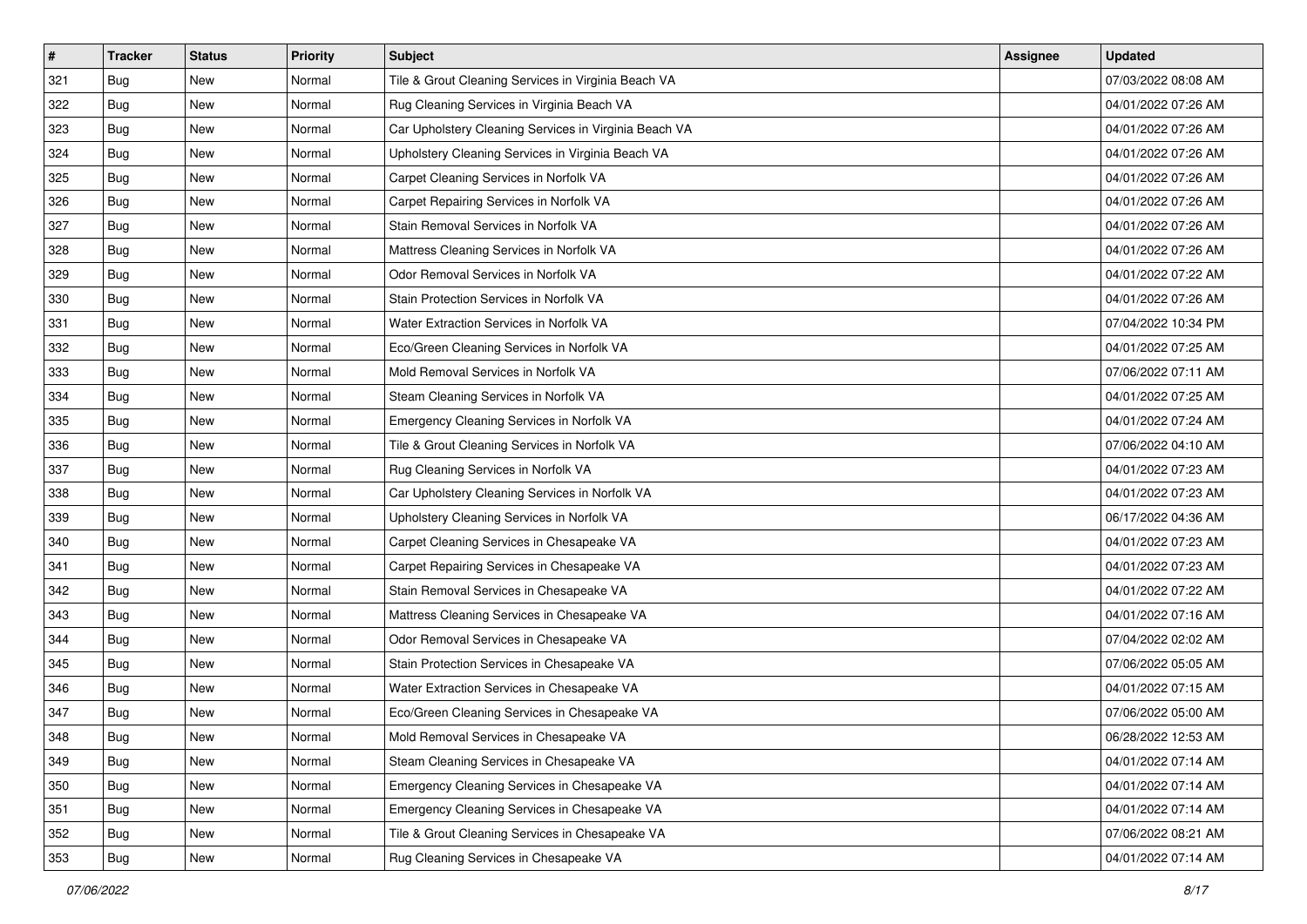| $\pmb{\#}$ | <b>Tracker</b> | <b>Status</b> | <b>Priority</b> | <b>Subject</b>                                        | Assignee | <b>Updated</b>      |
|------------|----------------|---------------|-----------------|-------------------------------------------------------|----------|---------------------|
| 321        | <b>Bug</b>     | New           | Normal          | Tile & Grout Cleaning Services in Virginia Beach VA   |          | 07/03/2022 08:08 AM |
| 322        | <b>Bug</b>     | New           | Normal          | Rug Cleaning Services in Virginia Beach VA            |          | 04/01/2022 07:26 AM |
| 323        | Bug            | New           | Normal          | Car Upholstery Cleaning Services in Virginia Beach VA |          | 04/01/2022 07:26 AM |
| 324        | Bug            | New           | Normal          | Upholstery Cleaning Services in Virginia Beach VA     |          | 04/01/2022 07:26 AM |
| 325        | Bug            | New           | Normal          | Carpet Cleaning Services in Norfolk VA                |          | 04/01/2022 07:26 AM |
| 326        | Bug            | New           | Normal          | Carpet Repairing Services in Norfolk VA               |          | 04/01/2022 07:26 AM |
| 327        | Bug            | <b>New</b>    | Normal          | Stain Removal Services in Norfolk VA                  |          | 04/01/2022 07:26 AM |
| 328        | Bug            | New           | Normal          | Mattress Cleaning Services in Norfolk VA              |          | 04/01/2022 07:26 AM |
| 329        | Bug            | New           | Normal          | Odor Removal Services in Norfolk VA                   |          | 04/01/2022 07:22 AM |
| 330        | <b>Bug</b>     | <b>New</b>    | Normal          | Stain Protection Services in Norfolk VA               |          | 04/01/2022 07:26 AM |
| 331        | <b>Bug</b>     | New           | Normal          | <b>Water Extraction Services in Norfolk VA</b>        |          | 07/04/2022 10:34 PM |
| 332        | Bug            | New           | Normal          | Eco/Green Cleaning Services in Norfolk VA             |          | 04/01/2022 07:25 AM |
| 333        | Bug            | New           | Normal          | Mold Removal Services in Norfolk VA                   |          | 07/06/2022 07:11 AM |
| 334        | Bug            | New           | Normal          | Steam Cleaning Services in Norfolk VA                 |          | 04/01/2022 07:25 AM |
| 335        | <b>Bug</b>     | New           | Normal          | Emergency Cleaning Services in Norfolk VA             |          | 04/01/2022 07:24 AM |
| 336        | Bug            | New           | Normal          | Tile & Grout Cleaning Services in Norfolk VA          |          | 07/06/2022 04:10 AM |
| 337        | Bug            | New           | Normal          | Rug Cleaning Services in Norfolk VA                   |          | 04/01/2022 07:23 AM |
| 338        | Bug            | New           | Normal          | Car Upholstery Cleaning Services in Norfolk VA        |          | 04/01/2022 07:23 AM |
| 339        | Bug            | New           | Normal          | Upholstery Cleaning Services in Norfolk VA            |          | 06/17/2022 04:36 AM |
| 340        | Bug            | <b>New</b>    | Normal          | Carpet Cleaning Services in Chesapeake VA             |          | 04/01/2022 07:23 AM |
| 341        | Bug            | New           | Normal          | Carpet Repairing Services in Chesapeake VA            |          | 04/01/2022 07:23 AM |
| 342        | Bug            | New           | Normal          | Stain Removal Services in Chesapeake VA               |          | 04/01/2022 07:22 AM |
| 343        | Bug            | New           | Normal          | Mattress Cleaning Services in Chesapeake VA           |          | 04/01/2022 07:16 AM |
| 344        | <b>Bug</b>     | New           | Normal          | Odor Removal Services in Chesapeake VA                |          | 07/04/2022 02:02 AM |
| 345        | Bug            | New           | Normal          | Stain Protection Services in Chesapeake VA            |          | 07/06/2022 05:05 AM |
| 346        | Bug            | New           | Normal          | Water Extraction Services in Chesapeake VA            |          | 04/01/2022 07:15 AM |
| 347        | <b>Bug</b>     | New           | Normal          | Eco/Green Cleaning Services in Chesapeake VA          |          | 07/06/2022 05:00 AM |
| 348        | <b>Bug</b>     | New           | Normal          | Mold Removal Services in Chesapeake VA                |          | 06/28/2022 12:53 AM |
| 349        | Bug            | New           | Normal          | Steam Cleaning Services in Chesapeake VA              |          | 04/01/2022 07:14 AM |
| 350        | <b>Bug</b>     | New           | Normal          | Emergency Cleaning Services in Chesapeake VA          |          | 04/01/2022 07:14 AM |
| 351        | <b>Bug</b>     | New           | Normal          | Emergency Cleaning Services in Chesapeake VA          |          | 04/01/2022 07:14 AM |
| 352        | Bug            | New           | Normal          | Tile & Grout Cleaning Services in Chesapeake VA       |          | 07/06/2022 08:21 AM |
| 353        | <b>Bug</b>     | New           | Normal          | Rug Cleaning Services in Chesapeake VA                |          | 04/01/2022 07:14 AM |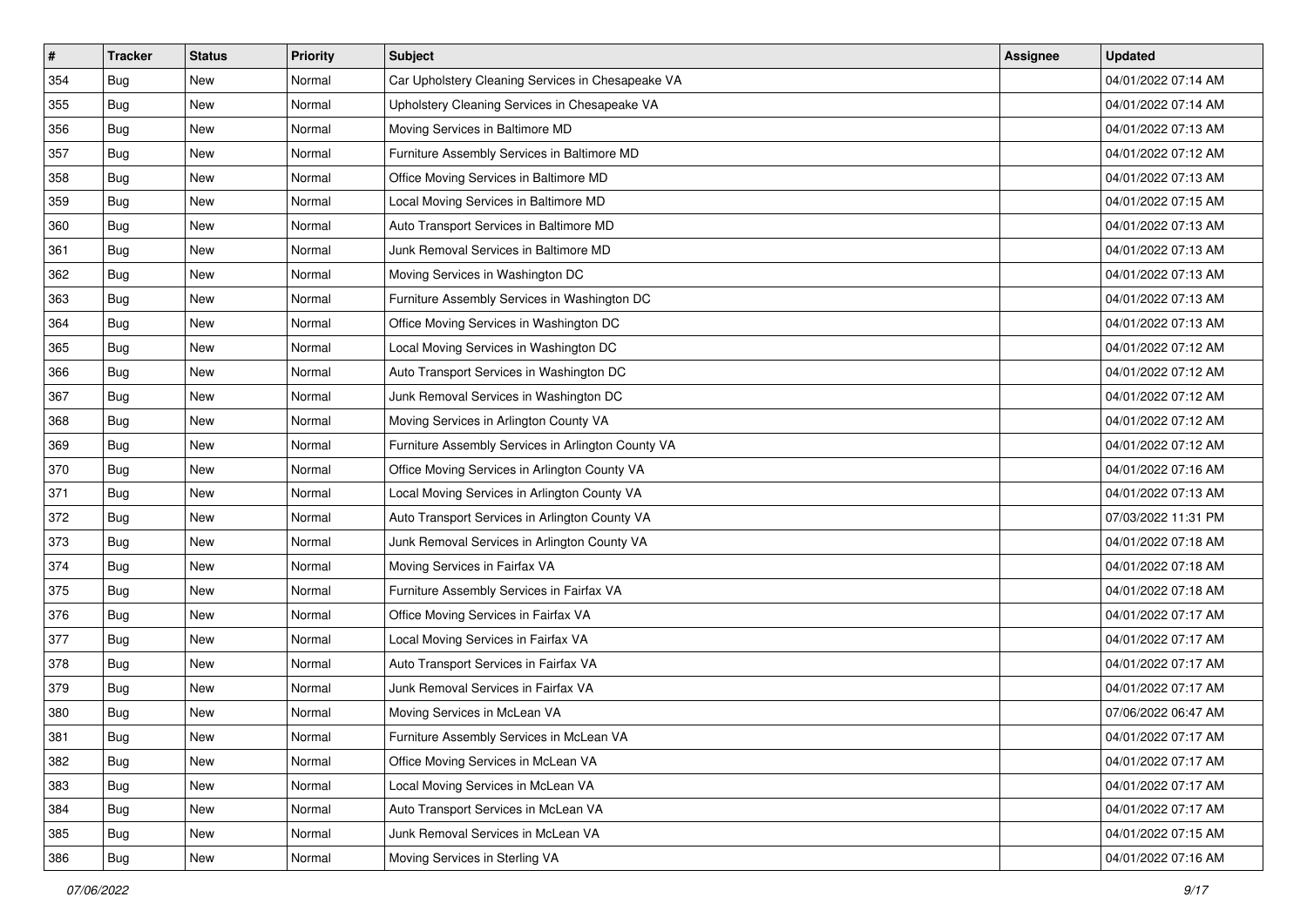| $\sharp$ | <b>Tracker</b> | <b>Status</b> | <b>Priority</b> | <b>Subject</b>                                     | Assignee | <b>Updated</b>      |
|----------|----------------|---------------|-----------------|----------------------------------------------------|----------|---------------------|
| 354      | Bug            | New           | Normal          | Car Upholstery Cleaning Services in Chesapeake VA  |          | 04/01/2022 07:14 AM |
| 355      | Bug            | New           | Normal          | Upholstery Cleaning Services in Chesapeake VA      |          | 04/01/2022 07:14 AM |
| 356      | Bug            | New           | Normal          | Moving Services in Baltimore MD                    |          | 04/01/2022 07:13 AM |
| 357      | Bug            | New           | Normal          | Furniture Assembly Services in Baltimore MD        |          | 04/01/2022 07:12 AM |
| 358      | Bug            | New           | Normal          | Office Moving Services in Baltimore MD             |          | 04/01/2022 07:13 AM |
| 359      | Bug            | New           | Normal          | Local Moving Services in Baltimore MD              |          | 04/01/2022 07:15 AM |
| 360      | Bug            | New           | Normal          | Auto Transport Services in Baltimore MD            |          | 04/01/2022 07:13 AM |
| 361      | Bug            | New           | Normal          | Junk Removal Services in Baltimore MD              |          | 04/01/2022 07:13 AM |
| 362      | Bug            | New           | Normal          | Moving Services in Washington DC                   |          | 04/01/2022 07:13 AM |
| 363      | Bug            | New           | Normal          | Furniture Assembly Services in Washington DC       |          | 04/01/2022 07:13 AM |
| 364      | Bug            | New           | Normal          | Office Moving Services in Washington DC            |          | 04/01/2022 07:13 AM |
| 365      | Bug            | New           | Normal          | Local Moving Services in Washington DC             |          | 04/01/2022 07:12 AM |
| 366      | Bug            | New           | Normal          | Auto Transport Services in Washington DC           |          | 04/01/2022 07:12 AM |
| 367      | Bug            | New           | Normal          | Junk Removal Services in Washington DC             |          | 04/01/2022 07:12 AM |
| 368      | <b>Bug</b>     | New           | Normal          | Moving Services in Arlington County VA             |          | 04/01/2022 07:12 AM |
| 369      | Bug            | New           | Normal          | Furniture Assembly Services in Arlington County VA |          | 04/01/2022 07:12 AM |
| 370      | <b>Bug</b>     | New           | Normal          | Office Moving Services in Arlington County VA      |          | 04/01/2022 07:16 AM |
| 371      | Bug            | New           | Normal          | Local Moving Services in Arlington County VA       |          | 04/01/2022 07:13 AM |
| 372      | Bug            | New           | Normal          | Auto Transport Services in Arlington County VA     |          | 07/03/2022 11:31 PM |
| 373      | Bug            | New           | Normal          | Junk Removal Services in Arlington County VA       |          | 04/01/2022 07:18 AM |
| 374      | Bug            | New           | Normal          | Moving Services in Fairfax VA                      |          | 04/01/2022 07:18 AM |
| 375      | Bug            | New           | Normal          | Furniture Assembly Services in Fairfax VA          |          | 04/01/2022 07:18 AM |
| 376      | Bug            | New           | Normal          | Office Moving Services in Fairfax VA               |          | 04/01/2022 07:17 AM |
| 377      | Bug            | New           | Normal          | Local Moving Services in Fairfax VA                |          | 04/01/2022 07:17 AM |
| 378      | Bug            | New           | Normal          | Auto Transport Services in Fairfax VA              |          | 04/01/2022 07:17 AM |
| 379      | Bug            | New           | Normal          | Junk Removal Services in Fairfax VA                |          | 04/01/2022 07:17 AM |
| 380      | <b>Bug</b>     | New           | Normal          | Moving Services in McLean VA                       |          | 07/06/2022 06:47 AM |
| 381      | <b>Bug</b>     | New           | Normal          | Furniture Assembly Services in McLean VA           |          | 04/01/2022 07:17 AM |
| 382      | Bug            | New           | Normal          | Office Moving Services in McLean VA                |          | 04/01/2022 07:17 AM |
| 383      | Bug            | New           | Normal          | Local Moving Services in McLean VA                 |          | 04/01/2022 07:17 AM |
| 384      | Bug            | New           | Normal          | Auto Transport Services in McLean VA               |          | 04/01/2022 07:17 AM |
| 385      | Bug            | New           | Normal          | Junk Removal Services in McLean VA                 |          | 04/01/2022 07:15 AM |
| 386      | <b>Bug</b>     | New           | Normal          | Moving Services in Sterling VA                     |          | 04/01/2022 07:16 AM |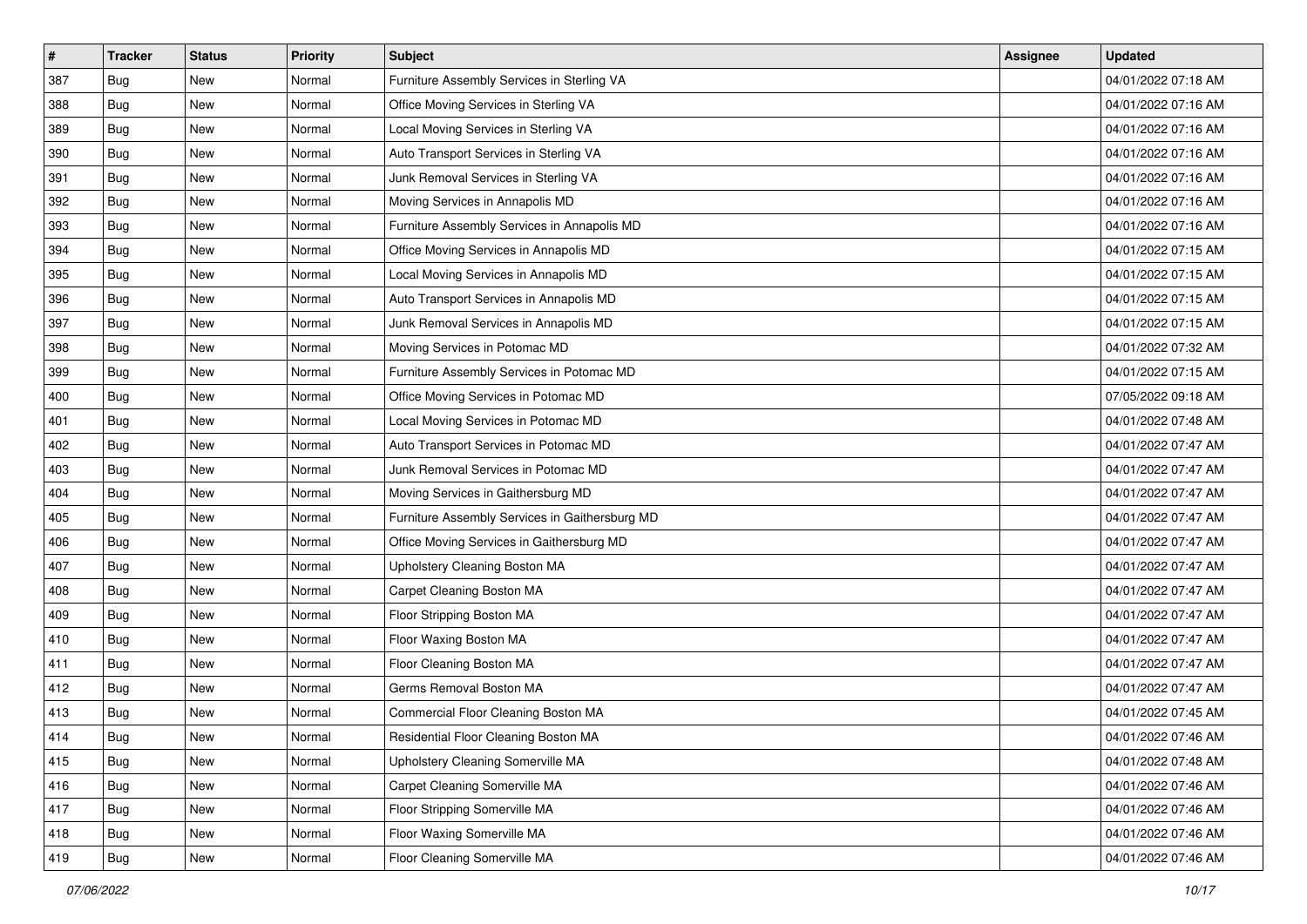| $\#$ | <b>Tracker</b> | <b>Status</b> | <b>Priority</b> | Subject                                        | Assignee | <b>Updated</b>      |
|------|----------------|---------------|-----------------|------------------------------------------------|----------|---------------------|
| 387  | Bug            | New           | Normal          | Furniture Assembly Services in Sterling VA     |          | 04/01/2022 07:18 AM |
| 388  | Bug            | New           | Normal          | Office Moving Services in Sterling VA          |          | 04/01/2022 07:16 AM |
| 389  | Bug            | New           | Normal          | Local Moving Services in Sterling VA           |          | 04/01/2022 07:16 AM |
| 390  | Bug            | New           | Normal          | Auto Transport Services in Sterling VA         |          | 04/01/2022 07:16 AM |
| 391  | <b>Bug</b>     | New           | Normal          | Junk Removal Services in Sterling VA           |          | 04/01/2022 07:16 AM |
| 392  | Bug            | New           | Normal          | Moving Services in Annapolis MD                |          | 04/01/2022 07:16 AM |
| 393  | Bug            | New           | Normal          | Furniture Assembly Services in Annapolis MD    |          | 04/01/2022 07:16 AM |
| 394  | Bug            | New           | Normal          | Office Moving Services in Annapolis MD         |          | 04/01/2022 07:15 AM |
| 395  | Bug            | New           | Normal          | Local Moving Services in Annapolis MD          |          | 04/01/2022 07:15 AM |
| 396  | Bug            | New           | Normal          | Auto Transport Services in Annapolis MD        |          | 04/01/2022 07:15 AM |
| 397  | Bug            | New           | Normal          | Junk Removal Services in Annapolis MD          |          | 04/01/2022 07:15 AM |
| 398  | Bug            | New           | Normal          | Moving Services in Potomac MD                  |          | 04/01/2022 07:32 AM |
| 399  | Bug            | New           | Normal          | Furniture Assembly Services in Potomac MD      |          | 04/01/2022 07:15 AM |
| 400  | Bug            | New           | Normal          | Office Moving Services in Potomac MD           |          | 07/05/2022 09:18 AM |
| 401  | <b>Bug</b>     | New           | Normal          | Local Moving Services in Potomac MD            |          | 04/01/2022 07:48 AM |
| 402  | Bug            | New           | Normal          | Auto Transport Services in Potomac MD          |          | 04/01/2022 07:47 AM |
| 403  | Bug            | New           | Normal          | Junk Removal Services in Potomac MD            |          | 04/01/2022 07:47 AM |
| 404  | <b>Bug</b>     | New           | Normal          | Moving Services in Gaithersburg MD             |          | 04/01/2022 07:47 AM |
| 405  | Bug            | New           | Normal          | Furniture Assembly Services in Gaithersburg MD |          | 04/01/2022 07:47 AM |
| 406  | Bug            | New           | Normal          | Office Moving Services in Gaithersburg MD      |          | 04/01/2022 07:47 AM |
| 407  | Bug            | New           | Normal          | Upholstery Cleaning Boston MA                  |          | 04/01/2022 07:47 AM |
| 408  | Bug            | New           | Normal          | Carpet Cleaning Boston MA                      |          | 04/01/2022 07:47 AM |
| 409  | <b>Bug</b>     | New           | Normal          | Floor Stripping Boston MA                      |          | 04/01/2022 07:47 AM |
| 410  | Bug            | New           | Normal          | Floor Waxing Boston MA                         |          | 04/01/2022 07:47 AM |
| 411  | Bug            | New           | Normal          | Floor Cleaning Boston MA                       |          | 04/01/2022 07:47 AM |
| 412  | Bug            | New           | Normal          | Germs Removal Boston MA                        |          | 04/01/2022 07:47 AM |
| 413  | <b>Bug</b>     | New           | Normal          | Commercial Floor Cleaning Boston MA            |          | 04/01/2022 07:45 AM |
| 414  | <b>Bug</b>     | New           | Normal          | Residential Floor Cleaning Boston MA           |          | 04/01/2022 07:46 AM |
| 415  | Bug            | New           | Normal          | Upholstery Cleaning Somerville MA              |          | 04/01/2022 07:48 AM |
| 416  | <b>Bug</b>     | New           | Normal          | Carpet Cleaning Somerville MA                  |          | 04/01/2022 07:46 AM |
| 417  | Bug            | New           | Normal          | Floor Stripping Somerville MA                  |          | 04/01/2022 07:46 AM |
| 418  | <b>Bug</b>     | New           | Normal          | Floor Waxing Somerville MA                     |          | 04/01/2022 07:46 AM |
| 419  | <b>Bug</b>     | New           | Normal          | Floor Cleaning Somerville MA                   |          | 04/01/2022 07:46 AM |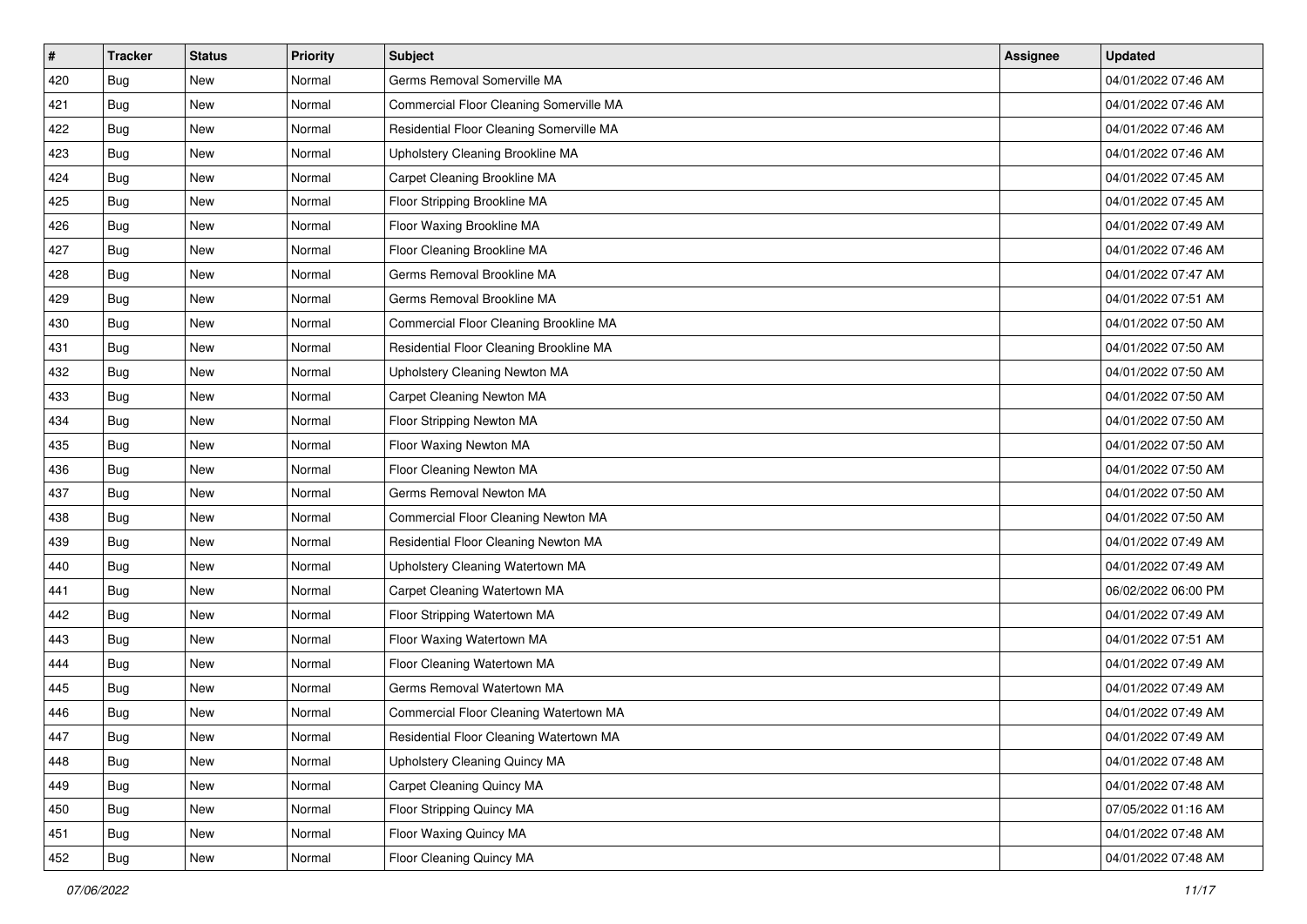| #   | <b>Tracker</b> | <b>Status</b> | <b>Priority</b> | <b>Subject</b>                           | <b>Assignee</b> | <b>Updated</b>      |
|-----|----------------|---------------|-----------------|------------------------------------------|-----------------|---------------------|
| 420 | <b>Bug</b>     | New           | Normal          | Germs Removal Somerville MA              |                 | 04/01/2022 07:46 AM |
| 421 | <b>Bug</b>     | New           | Normal          | Commercial Floor Cleaning Somerville MA  |                 | 04/01/2022 07:46 AM |
| 422 | Bug            | New           | Normal          | Residential Floor Cleaning Somerville MA |                 | 04/01/2022 07:46 AM |
| 423 | Bug            | New           | Normal          | Upholstery Cleaning Brookline MA         |                 | 04/01/2022 07:46 AM |
| 424 | <b>Bug</b>     | New           | Normal          | Carpet Cleaning Brookline MA             |                 | 04/01/2022 07:45 AM |
| 425 | <b>Bug</b>     | New           | Normal          | Floor Stripping Brookline MA             |                 | 04/01/2022 07:45 AM |
| 426 | Bug            | New           | Normal          | Floor Waxing Brookline MA                |                 | 04/01/2022 07:49 AM |
| 427 | <b>Bug</b>     | New           | Normal          | Floor Cleaning Brookline MA              |                 | 04/01/2022 07:46 AM |
| 428 | Bug            | New           | Normal          | Germs Removal Brookline MA               |                 | 04/01/2022 07:47 AM |
| 429 | <b>Bug</b>     | New           | Normal          | Germs Removal Brookline MA               |                 | 04/01/2022 07:51 AM |
| 430 | <b>Bug</b>     | New           | Normal          | Commercial Floor Cleaning Brookline MA   |                 | 04/01/2022 07:50 AM |
| 431 | Bug            | New           | Normal          | Residential Floor Cleaning Brookline MA  |                 | 04/01/2022 07:50 AM |
| 432 | <b>Bug</b>     | New           | Normal          | Upholstery Cleaning Newton MA            |                 | 04/01/2022 07:50 AM |
| 433 | Bug            | New           | Normal          | Carpet Cleaning Newton MA                |                 | 04/01/2022 07:50 AM |
| 434 | Bug            | New           | Normal          | Floor Stripping Newton MA                |                 | 04/01/2022 07:50 AM |
| 435 | Bug            | New           | Normal          | Floor Waxing Newton MA                   |                 | 04/01/2022 07:50 AM |
| 436 | Bug            | New           | Normal          | Floor Cleaning Newton MA                 |                 | 04/01/2022 07:50 AM |
| 437 | <b>Bug</b>     | New           | Normal          | Germs Removal Newton MA                  |                 | 04/01/2022 07:50 AM |
| 438 | <b>Bug</b>     | New           | Normal          | Commercial Floor Cleaning Newton MA      |                 | 04/01/2022 07:50 AM |
| 439 | <b>Bug</b>     | New           | Normal          | Residential Floor Cleaning Newton MA     |                 | 04/01/2022 07:49 AM |
| 440 | <b>Bug</b>     | New           | Normal          | Upholstery Cleaning Watertown MA         |                 | 04/01/2022 07:49 AM |
| 441 | Bug            | New           | Normal          | Carpet Cleaning Watertown MA             |                 | 06/02/2022 06:00 PM |
| 442 | <b>Bug</b>     | New           | Normal          | Floor Stripping Watertown MA             |                 | 04/01/2022 07:49 AM |
| 443 | <b>Bug</b>     | New           | Normal          | Floor Waxing Watertown MA                |                 | 04/01/2022 07:51 AM |
| 444 | <b>Bug</b>     | New           | Normal          | Floor Cleaning Watertown MA              |                 | 04/01/2022 07:49 AM |
| 445 | Bug            | New           | Normal          | Germs Removal Watertown MA               |                 | 04/01/2022 07:49 AM |
| 446 | <b>Bug</b>     | New           | Normal          | Commercial Floor Cleaning Watertown MA   |                 | 04/01/2022 07:49 AM |
| 447 | <b>Bug</b>     | New           | Normal          | Residential Floor Cleaning Watertown MA  |                 | 04/01/2022 07:49 AM |
| 448 | <b>Bug</b>     | New           | Normal          | Upholstery Cleaning Quincy MA            |                 | 04/01/2022 07:48 AM |
| 449 | <b>Bug</b>     | New           | Normal          | Carpet Cleaning Quincy MA                |                 | 04/01/2022 07:48 AM |
| 450 | <b>Bug</b>     | New           | Normal          | Floor Stripping Quincy MA                |                 | 07/05/2022 01:16 AM |
| 451 | <b>Bug</b>     | New           | Normal          | Floor Waxing Quincy MA                   |                 | 04/01/2022 07:48 AM |
| 452 | <b>Bug</b>     | New           | Normal          | Floor Cleaning Quincy MA                 |                 | 04/01/2022 07:48 AM |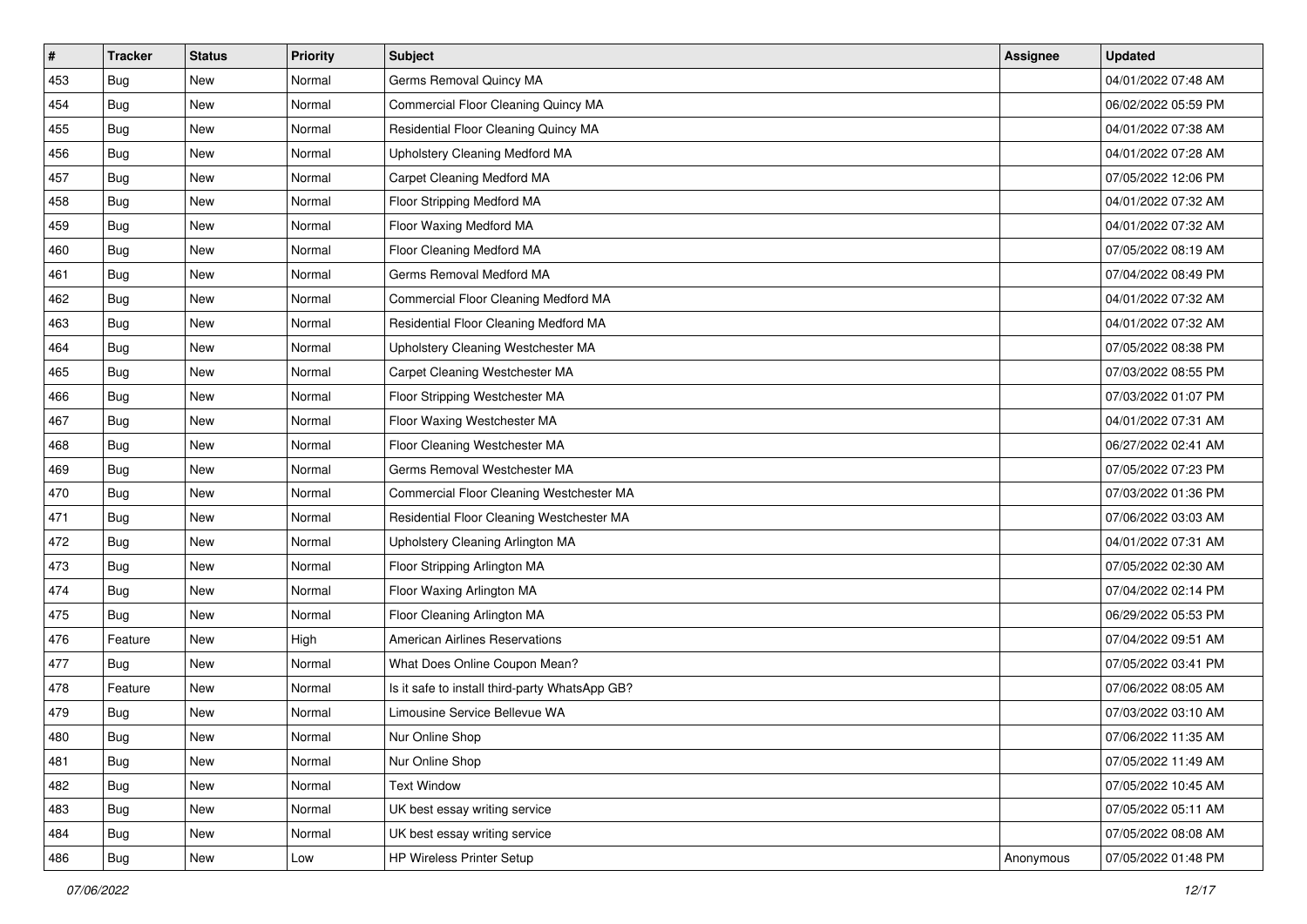| #   | <b>Tracker</b> | <b>Status</b> | <b>Priority</b> | Subject                                        | <b>Assignee</b> | <b>Updated</b>      |
|-----|----------------|---------------|-----------------|------------------------------------------------|-----------------|---------------------|
| 453 | Bug            | New           | Normal          | Germs Removal Quincy MA                        |                 | 04/01/2022 07:48 AM |
| 454 | <b>Bug</b>     | New           | Normal          | Commercial Floor Cleaning Quincy MA            |                 | 06/02/2022 05:59 PM |
| 455 | Bug            | New           | Normal          | Residential Floor Cleaning Quincy MA           |                 | 04/01/2022 07:38 AM |
| 456 | Bug            | New           | Normal          | Upholstery Cleaning Medford MA                 |                 | 04/01/2022 07:28 AM |
| 457 | <b>Bug</b>     | New           | Normal          | Carpet Cleaning Medford MA                     |                 | 07/05/2022 12:06 PM |
| 458 | Bug            | New           | Normal          | Floor Stripping Medford MA                     |                 | 04/01/2022 07:32 AM |
| 459 | <b>Bug</b>     | New           | Normal          | Floor Waxing Medford MA                        |                 | 04/01/2022 07:32 AM |
| 460 | Bug            | New           | Normal          | Floor Cleaning Medford MA                      |                 | 07/05/2022 08:19 AM |
| 461 | Bug            | New           | Normal          | Germs Removal Medford MA                       |                 | 07/04/2022 08:49 PM |
| 462 | <b>Bug</b>     | <b>New</b>    | Normal          | Commercial Floor Cleaning Medford MA           |                 | 04/01/2022 07:32 AM |
| 463 | <b>Bug</b>     | New           | Normal          | Residential Floor Cleaning Medford MA          |                 | 04/01/2022 07:32 AM |
| 464 | Bug            | New           | Normal          | Upholstery Cleaning Westchester MA             |                 | 07/05/2022 08:38 PM |
| 465 | Bug            | New           | Normal          | Carpet Cleaning Westchester MA                 |                 | 07/03/2022 08:55 PM |
| 466 | <b>Bug</b>     | New           | Normal          | Floor Stripping Westchester MA                 |                 | 07/03/2022 01:07 PM |
| 467 | <b>Bug</b>     | New           | Normal          | Floor Waxing Westchester MA                    |                 | 04/01/2022 07:31 AM |
| 468 | Bug            | New           | Normal          | Floor Cleaning Westchester MA                  |                 | 06/27/2022 02:41 AM |
| 469 | Bug            | New           | Normal          | Germs Removal Westchester MA                   |                 | 07/05/2022 07:23 PM |
| 470 | <b>Bug</b>     | New           | Normal          | Commercial Floor Cleaning Westchester MA       |                 | 07/03/2022 01:36 PM |
| 471 | Bug            | New           | Normal          | Residential Floor Cleaning Westchester MA      |                 | 07/06/2022 03:03 AM |
| 472 | <b>Bug</b>     | New           | Normal          | Upholstery Cleaning Arlington MA               |                 | 04/01/2022 07:31 AM |
| 473 | Bug            | New           | Normal          | Floor Stripping Arlington MA                   |                 | 07/05/2022 02:30 AM |
| 474 | Bug            | New           | Normal          | Floor Waxing Arlington MA                      |                 | 07/04/2022 02:14 PM |
| 475 | Bug            | New           | Normal          | Floor Cleaning Arlington MA                    |                 | 06/29/2022 05:53 PM |
| 476 | Feature        | New           | High            | American Airlines Reservations                 |                 | 07/04/2022 09:51 AM |
| 477 | Bug            | New           | Normal          | What Does Online Coupon Mean?                  |                 | 07/05/2022 03:41 PM |
| 478 | Feature        | New           | Normal          | Is it safe to install third-party WhatsApp GB? |                 | 07/06/2022 08:05 AM |
| 479 | Bug            | New           | Normal          | Limousine Service Bellevue WA                  |                 | 07/03/2022 03:10 AM |
| 480 | <b>Bug</b>     | New           | Normal          | Nur Online Shop                                |                 | 07/06/2022 11:35 AM |
| 481 | Bug            | New           | Normal          | Nur Online Shop                                |                 | 07/05/2022 11:49 AM |
| 482 | Bug            | New           | Normal          | <b>Text Window</b>                             |                 | 07/05/2022 10:45 AM |
| 483 | Bug            | New           | Normal          | UK best essay writing service                  |                 | 07/05/2022 05:11 AM |
| 484 | Bug            | New           | Normal          | UK best essay writing service                  |                 | 07/05/2022 08:08 AM |
| 486 | <b>Bug</b>     | New           | Low             | <b>HP Wireless Printer Setup</b>               | Anonymous       | 07/05/2022 01:48 PM |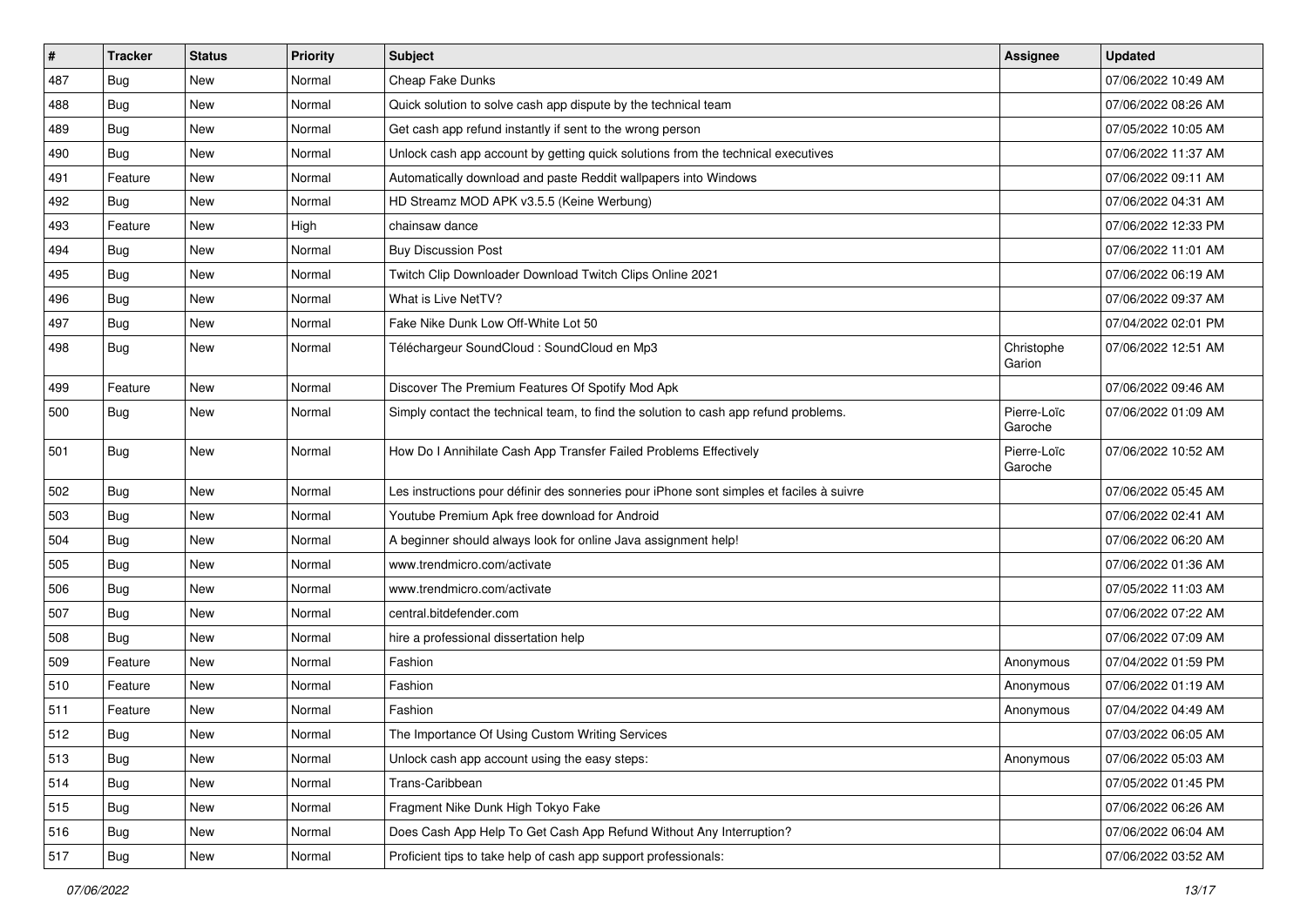| #   | <b>Tracker</b> | <b>Status</b> | <b>Priority</b> | <b>Subject</b>                                                                           | <b>Assignee</b>        | <b>Updated</b>      |
|-----|----------------|---------------|-----------------|------------------------------------------------------------------------------------------|------------------------|---------------------|
| 487 | <b>Bug</b>     | New           | Normal          | Cheap Fake Dunks                                                                         |                        | 07/06/2022 10:49 AM |
| 488 | Bug            | New           | Normal          | Quick solution to solve cash app dispute by the technical team                           |                        | 07/06/2022 08:26 AM |
| 489 | Bug            | New           | Normal          | Get cash app refund instantly if sent to the wrong person                                |                        | 07/05/2022 10:05 AM |
| 490 | Bug            | <b>New</b>    | Normal          | Unlock cash app account by getting quick solutions from the technical executives         |                        | 07/06/2022 11:37 AM |
| 491 | Feature        | <b>New</b>    | Normal          | Automatically download and paste Reddit wallpapers into Windows                          |                        | 07/06/2022 09:11 AM |
| 492 | Bug            | New           | Normal          | HD Streamz MOD APK v3.5.5 (Keine Werbung)                                                |                        | 07/06/2022 04:31 AM |
| 493 | Feature        | New           | High            | chainsaw dance                                                                           |                        | 07/06/2022 12:33 PM |
| 494 | Bug            | New           | Normal          | <b>Buy Discussion Post</b>                                                               |                        | 07/06/2022 11:01 AM |
| 495 | Bug            | <b>New</b>    | Normal          | Twitch Clip Downloader Download Twitch Clips Online 2021                                 |                        | 07/06/2022 06:19 AM |
| 496 | <b>Bug</b>     | New           | Normal          | What is Live NetTV?                                                                      |                        | 07/06/2022 09:37 AM |
| 497 | Bug            | <b>New</b>    | Normal          | Fake Nike Dunk Low Off-White Lot 50                                                      |                        | 07/04/2022 02:01 PM |
| 498 | Bug            | New           | Normal          | Téléchargeur SoundCloud : SoundCloud en Mp3                                              | Christophe<br>Garion   | 07/06/2022 12:51 AM |
| 499 | Feature        | New           | Normal          | Discover The Premium Features Of Spotify Mod Apk                                         |                        | 07/06/2022 09:46 AM |
| 500 | <b>Bug</b>     | New           | Normal          | Simply contact the technical team, to find the solution to cash app refund problems.     | Pierre-Loïc<br>Garoche | 07/06/2022 01:09 AM |
| 501 | <b>Bug</b>     | <b>New</b>    | Normal          | How Do I Annihilate Cash App Transfer Failed Problems Effectively                        | Pierre-Loïc<br>Garoche | 07/06/2022 10:52 AM |
| 502 | Bug            | <b>New</b>    | Normal          | Les instructions pour définir des sonneries pour iPhone sont simples et faciles à suivre |                        | 07/06/2022 05:45 AM |
| 503 | Bug            | New           | Normal          | Youtube Premium Apk free download for Android                                            |                        | 07/06/2022 02:41 AM |
| 504 | <b>Bug</b>     | <b>New</b>    | Normal          | A beginner should always look for online Java assignment help!                           |                        | 07/06/2022 06:20 AM |
| 505 | Bug            | <b>New</b>    | Normal          | www.trendmicro.com/activate                                                              |                        | 07/06/2022 01:36 AM |
| 506 | Bug            | New           | Normal          | www.trendmicro.com/activate                                                              |                        | 07/05/2022 11:03 AM |
| 507 | Bug            | New           | Normal          | central.bitdefender.com                                                                  |                        | 07/06/2022 07:22 AM |
| 508 | Bug            | <b>New</b>    | Normal          | hire a professional dissertation help                                                    |                        | 07/06/2022 07:09 AM |
| 509 | Feature        | <b>New</b>    | Normal          | Fashion                                                                                  | Anonymous              | 07/04/2022 01:59 PM |
| 510 | Feature        | New           | Normal          | Fashion                                                                                  | Anonymous              | 07/06/2022 01:19 AM |
| 511 | Feature        | New           | Normal          | Fashion                                                                                  | Anonymous              | 07/04/2022 04:49 AM |
| 512 | Bug            | New           | Normal          | The Importance Of Using Custom Writing Services                                          |                        | 07/03/2022 06:05 AM |
| 513 | Bug            | New           | Normal          | Unlock cash app account using the easy steps:                                            | Anonymous              | 07/06/2022 05:03 AM |
| 514 | Bug            | New           | Normal          | Trans-Caribbean                                                                          |                        | 07/05/2022 01:45 PM |
| 515 | Bug            | New           | Normal          | Fragment Nike Dunk High Tokyo Fake                                                       |                        | 07/06/2022 06:26 AM |
| 516 | Bug            | New           | Normal          | Does Cash App Help To Get Cash App Refund Without Any Interruption?                      |                        | 07/06/2022 06:04 AM |
| 517 | <b>Bug</b>     | New           | Normal          | Proficient tips to take help of cash app support professionals:                          |                        | 07/06/2022 03:52 AM |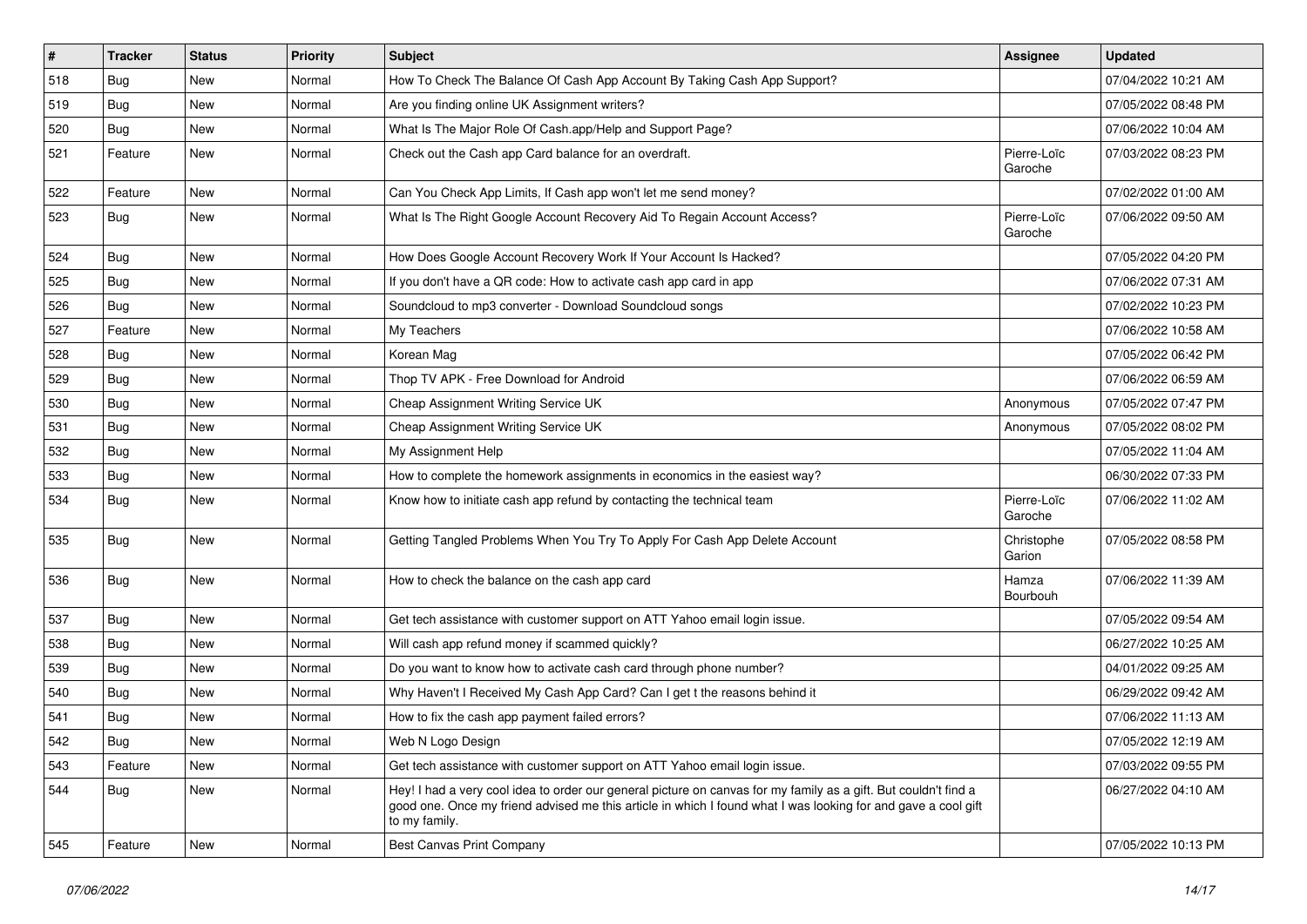| $\sharp$ | <b>Tracker</b> | <b>Status</b> | <b>Priority</b> | Subject                                                                                                                                                                                                                                           | <b>Assignee</b>        | <b>Updated</b>      |
|----------|----------------|---------------|-----------------|---------------------------------------------------------------------------------------------------------------------------------------------------------------------------------------------------------------------------------------------------|------------------------|---------------------|
| 518      | <b>Bug</b>     | New           | Normal          | How To Check The Balance Of Cash App Account By Taking Cash App Support?                                                                                                                                                                          |                        | 07/04/2022 10:21 AM |
| 519      | Bug            | New           | Normal          | Are you finding online UK Assignment writers?                                                                                                                                                                                                     |                        | 07/05/2022 08:48 PM |
| 520      | <b>Bug</b>     | New           | Normal          | What Is The Major Role Of Cash.app/Help and Support Page?                                                                                                                                                                                         |                        | 07/06/2022 10:04 AM |
| 521      | Feature        | New           | Normal          | Check out the Cash app Card balance for an overdraft.                                                                                                                                                                                             | Pierre-Loïc<br>Garoche | 07/03/2022 08:23 PM |
| 522      | Feature        | New           | Normal          | Can You Check App Limits, If Cash app won't let me send money?                                                                                                                                                                                    |                        | 07/02/2022 01:00 AM |
| 523      | <b>Bug</b>     | New           | Normal          | What Is The Right Google Account Recovery Aid To Regain Account Access?                                                                                                                                                                           | Pierre-Loïc<br>Garoche | 07/06/2022 09:50 AM |
| 524      | <b>Bug</b>     | <b>New</b>    | Normal          | How Does Google Account Recovery Work If Your Account Is Hacked?                                                                                                                                                                                  |                        | 07/05/2022 04:20 PM |
| 525      | <b>Bug</b>     | New           | Normal          | If you don't have a QR code: How to activate cash app card in app                                                                                                                                                                                 |                        | 07/06/2022 07:31 AM |
| 526      | <b>Bug</b>     | New           | Normal          | Soundcloud to mp3 converter - Download Soundcloud songs                                                                                                                                                                                           |                        | 07/02/2022 10:23 PM |
| 527      | Feature        | New           | Normal          | My Teachers                                                                                                                                                                                                                                       |                        | 07/06/2022 10:58 AM |
| 528      | <b>Bug</b>     | New           | Normal          | Korean Mag                                                                                                                                                                                                                                        |                        | 07/05/2022 06:42 PM |
| 529      | Bug            | New           | Normal          | Thop TV APK - Free Download for Android                                                                                                                                                                                                           |                        | 07/06/2022 06:59 AM |
| 530      | <b>Bug</b>     | New           | Normal          | Cheap Assignment Writing Service UK                                                                                                                                                                                                               | Anonymous              | 07/05/2022 07:47 PM |
| 531      | <b>Bug</b>     | New           | Normal          | Cheap Assignment Writing Service UK                                                                                                                                                                                                               | Anonymous              | 07/05/2022 08:02 PM |
| 532      | <b>Bug</b>     | New           | Normal          | My Assignment Help                                                                                                                                                                                                                                |                        | 07/05/2022 11:04 AM |
| 533      | Bug            | <b>New</b>    | Normal          | How to complete the homework assignments in economics in the easiest way?                                                                                                                                                                         |                        | 06/30/2022 07:33 PM |
| 534      | <b>Bug</b>     | New           | Normal          | Know how to initiate cash app refund by contacting the technical team                                                                                                                                                                             | Pierre-Loïc<br>Garoche | 07/06/2022 11:02 AM |
| 535      | <b>Bug</b>     | <b>New</b>    | Normal          | Getting Tangled Problems When You Try To Apply For Cash App Delete Account                                                                                                                                                                        | Christophe<br>Garion   | 07/05/2022 08:58 PM |
| 536      | <b>Bug</b>     | New           | Normal          | How to check the balance on the cash app card                                                                                                                                                                                                     | Hamza<br>Bourbouh      | 07/06/2022 11:39 AM |
| 537      | <b>Bug</b>     | <b>New</b>    | Normal          | Get tech assistance with customer support on ATT Yahoo email login issue.                                                                                                                                                                         |                        | 07/05/2022 09:54 AM |
| 538      | Bug            | New           | Normal          | Will cash app refund money if scammed quickly?                                                                                                                                                                                                    |                        | 06/27/2022 10:25 AM |
| 539      | <b>Bug</b>     | New           | Normal          | Do you want to know how to activate cash card through phone number?                                                                                                                                                                               |                        | 04/01/2022 09:25 AM |
| 540      | Bug            | New           | Normal          | Why Haven't I Received My Cash App Card? Can I get t the reasons behind it                                                                                                                                                                        |                        | 06/29/2022 09:42 AM |
| 541      | <b>Bug</b>     | New           | Normal          | How to fix the cash app payment failed errors?                                                                                                                                                                                                    |                        | 07/06/2022 11:13 AM |
| 542      | Bug            | New           | Normal          | Web N Logo Design                                                                                                                                                                                                                                 |                        | 07/05/2022 12:19 AM |
| 543      | Feature        | New           | Normal          | Get tech assistance with customer support on ATT Yahoo email login issue.                                                                                                                                                                         |                        | 07/03/2022 09:55 PM |
| 544      | Bug            | New           | Normal          | Hey! I had a very cool idea to order our general picture on canvas for my family as a gift. But couldn't find a<br>good one. Once my friend advised me this article in which I found what I was looking for and gave a cool gift<br>to my family. |                        | 06/27/2022 04:10 AM |
| 545      | Feature        | New           | Normal          | <b>Best Canvas Print Company</b>                                                                                                                                                                                                                  |                        | 07/05/2022 10:13 PM |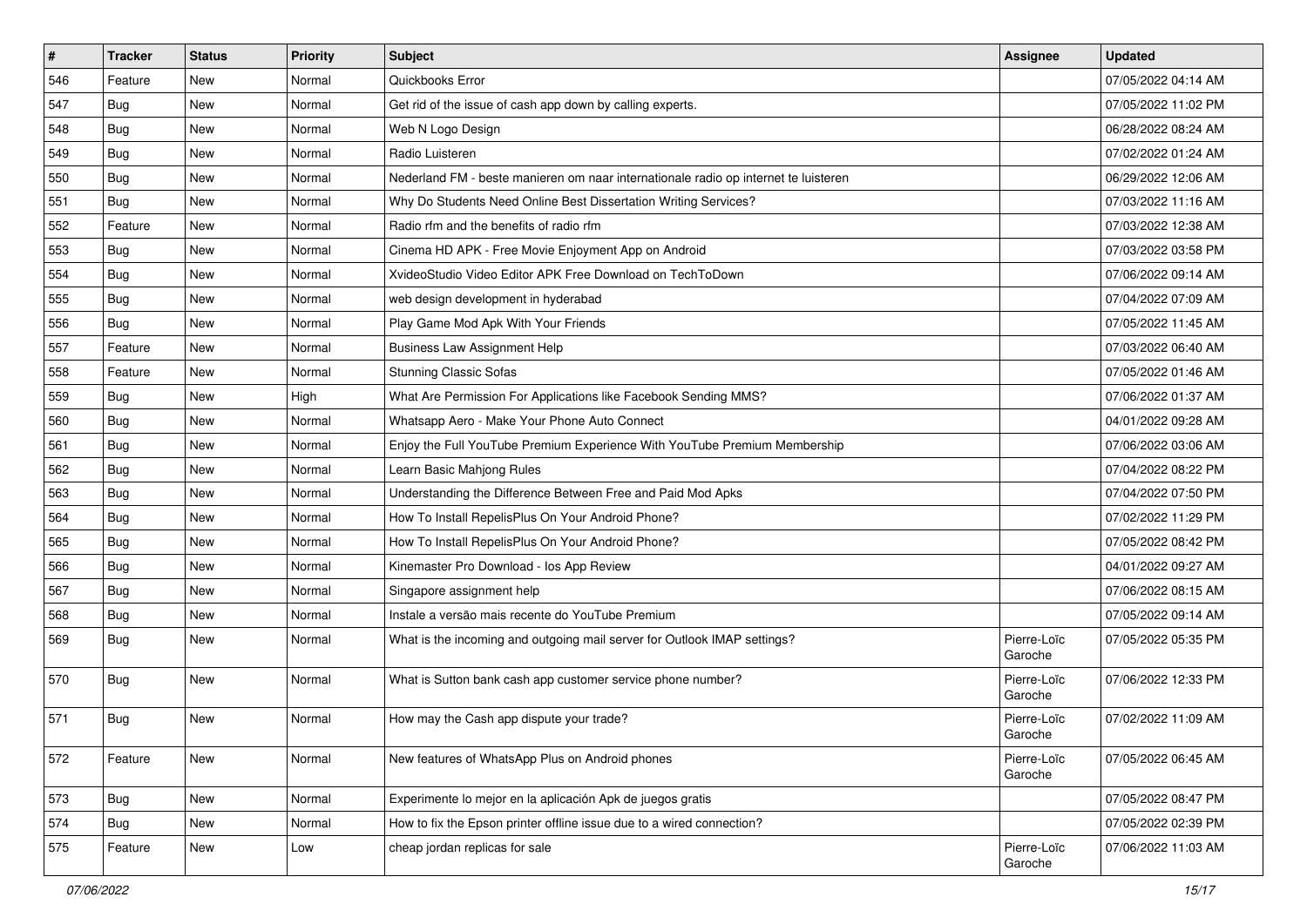| $\sharp$ | <b>Tracker</b> | <b>Status</b> | Priority | Subject                                                                             | Assignee               | <b>Updated</b>      |
|----------|----------------|---------------|----------|-------------------------------------------------------------------------------------|------------------------|---------------------|
| 546      | Feature        | New           | Normal   | Quickbooks Error                                                                    |                        | 07/05/2022 04:14 AM |
| 547      | <b>Bug</b>     | <b>New</b>    | Normal   | Get rid of the issue of cash app down by calling experts.                           |                        | 07/05/2022 11:02 PM |
| 548      | <b>Bug</b>     | New           | Normal   | Web N Logo Design                                                                   |                        | 06/28/2022 08:24 AM |
| 549      | <b>Bug</b>     | <b>New</b>    | Normal   | Radio Luisteren                                                                     |                        | 07/02/2022 01:24 AM |
| 550      | Bug            | <b>New</b>    | Normal   | Nederland FM - beste manieren om naar internationale radio op internet te luisteren |                        | 06/29/2022 12:06 AM |
| 551      | <b>Bug</b>     | <b>New</b>    | Normal   | Why Do Students Need Online Best Dissertation Writing Services?                     |                        | 07/03/2022 11:16 AM |
| 552      | Feature        | <b>New</b>    | Normal   | Radio rfm and the benefits of radio rfm                                             |                        | 07/03/2022 12:38 AM |
| 553      | <b>Bug</b>     | New           | Normal   | Cinema HD APK - Free Movie Enjoyment App on Android                                 |                        | 07/03/2022 03:58 PM |
| 554      | <b>Bug</b>     | New           | Normal   | XvideoStudio Video Editor APK Free Download on TechToDown                           |                        | 07/06/2022 09:14 AM |
| 555      | Bug            | <b>New</b>    | Normal   | web design development in hyderabad                                                 |                        | 07/04/2022 07:09 AM |
| 556      | <b>Bug</b>     | <b>New</b>    | Normal   | Play Game Mod Apk With Your Friends                                                 |                        | 07/05/2022 11:45 AM |
| 557      | Feature        | New           | Normal   | <b>Business Law Assignment Help</b>                                                 |                        | 07/03/2022 06:40 AM |
| 558      | Feature        | <b>New</b>    | Normal   | <b>Stunning Classic Sofas</b>                                                       |                        | 07/05/2022 01:46 AM |
| 559      | <b>Bug</b>     | <b>New</b>    | High     | What Are Permission For Applications like Facebook Sending MMS?                     |                        | 07/06/2022 01:37 AM |
| 560      | <b>Bug</b>     | <b>New</b>    | Normal   | Whatsapp Aero - Make Your Phone Auto Connect                                        |                        | 04/01/2022 09:28 AM |
| 561      | Bug            | New           | Normal   | Enjoy the Full YouTube Premium Experience With YouTube Premium Membership           |                        | 07/06/2022 03:06 AM |
| 562      | <b>Bug</b>     | <b>New</b>    | Normal   | Learn Basic Mahjong Rules                                                           |                        | 07/04/2022 08:22 PM |
| 563      | <b>Bug</b>     | <b>New</b>    | Normal   | Understanding the Difference Between Free and Paid Mod Apks                         |                        | 07/04/2022 07:50 PM |
| 564      | <b>Bug</b>     | New           | Normal   | How To Install RepelisPlus On Your Android Phone?                                   |                        | 07/02/2022 11:29 PM |
| 565      | <b>Bug</b>     | <b>New</b>    | Normal   | How To Install RepelisPlus On Your Android Phone?                                   |                        | 07/05/2022 08:42 PM |
| 566      | <b>Bug</b>     | New           | Normal   | Kinemaster Pro Download - los App Review                                            |                        | 04/01/2022 09:27 AM |
| 567      | <b>Bug</b>     | <b>New</b>    | Normal   | Singapore assignment help                                                           |                        | 07/06/2022 08:15 AM |
| 568      | Bug            | <b>New</b>    | Normal   | Instale a versão mais recente do YouTube Premium                                    |                        | 07/05/2022 09:14 AM |
| 569      | <b>Bug</b>     | New           | Normal   | What is the incoming and outgoing mail server for Outlook IMAP settings?            | Pierre-Loïc<br>Garoche | 07/05/2022 05:35 PM |
| 570      | <b>Bug</b>     | <b>New</b>    | Normal   | What is Sutton bank cash app customer service phone number?                         | Pierre-Loïc<br>Garoche | 07/06/2022 12:33 PM |
| 571      | <b>Bug</b>     | <b>New</b>    | Normal   | How may the Cash app dispute your trade?                                            | Pierre-Loïc<br>Garoche | 07/02/2022 11:09 AM |
| 572      | Feature        | New           | Normal   | New features of WhatsApp Plus on Android phones                                     | Pierre-Loïc<br>Garoche | 07/05/2022 06:45 AM |
| 573      | Bug            | New           | Normal   | Experimente lo mejor en la aplicación Apk de juegos gratis                          |                        | 07/05/2022 08:47 PM |
| 574      | <b>Bug</b>     | New           | Normal   | How to fix the Epson printer offline issue due to a wired connection?               |                        | 07/05/2022 02:39 PM |
| 575      | Feature        | New           | Low      | cheap jordan replicas for sale                                                      | Pierre-Loïc<br>Garoche | 07/06/2022 11:03 AM |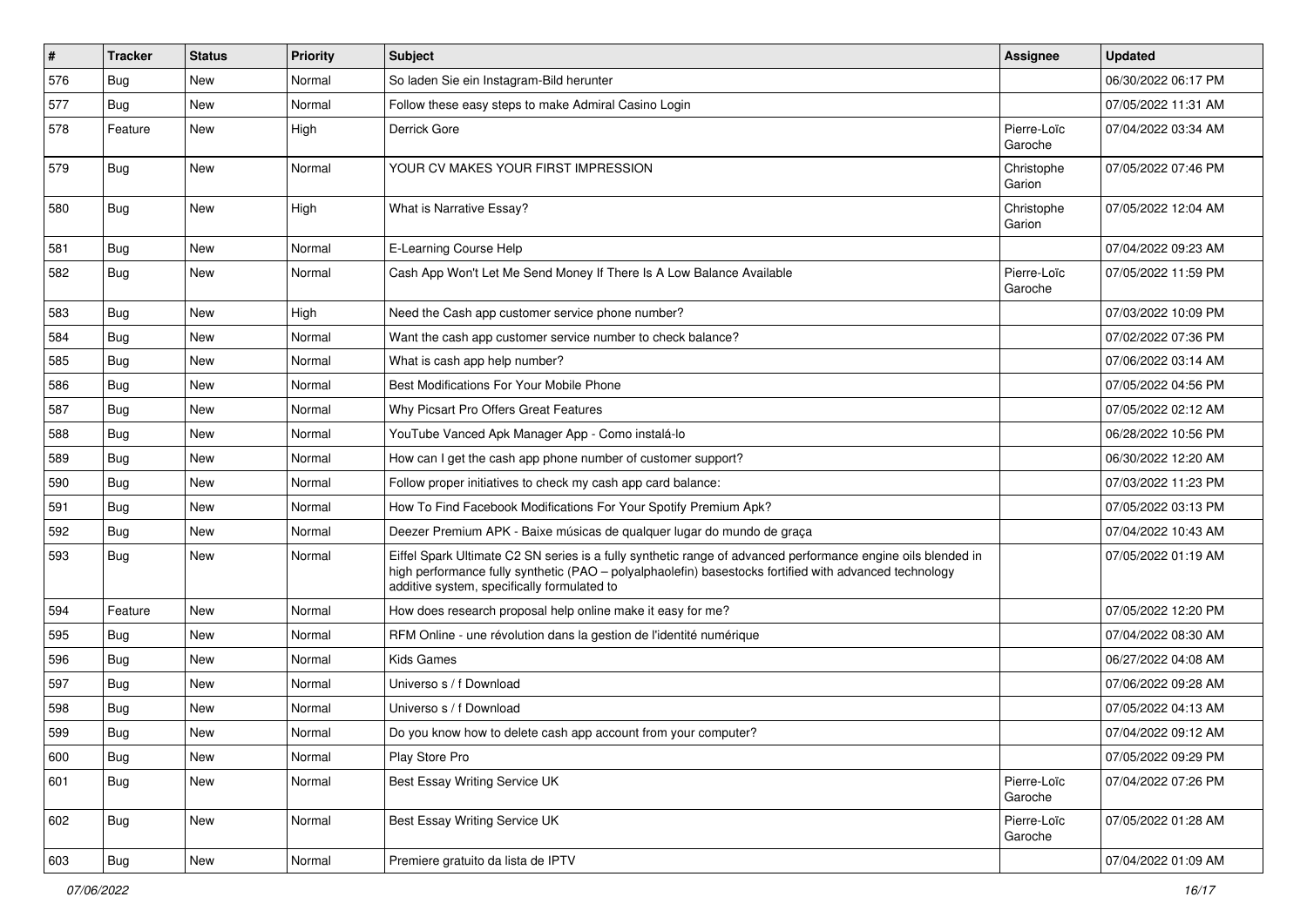| #   | <b>Tracker</b> | <b>Status</b> | <b>Priority</b> | <b>Subject</b>                                                                                                                                                                                                                                                        | <b>Assignee</b>        | <b>Updated</b>      |
|-----|----------------|---------------|-----------------|-----------------------------------------------------------------------------------------------------------------------------------------------------------------------------------------------------------------------------------------------------------------------|------------------------|---------------------|
| 576 | Bug            | New           | Normal          | So laden Sie ein Instagram-Bild herunter                                                                                                                                                                                                                              |                        | 06/30/2022 06:17 PM |
| 577 | Bug            | <b>New</b>    | Normal          | Follow these easy steps to make Admiral Casino Login                                                                                                                                                                                                                  |                        | 07/05/2022 11:31 AM |
| 578 | Feature        | New           | High            | Derrick Gore                                                                                                                                                                                                                                                          | Pierre-Loïc<br>Garoche | 07/04/2022 03:34 AM |
| 579 | <b>Bug</b>     | <b>New</b>    | Normal          | YOUR CV MAKES YOUR FIRST IMPRESSION                                                                                                                                                                                                                                   | Christophe<br>Garion   | 07/05/2022 07:46 PM |
| 580 | <b>Bug</b>     | New           | High            | What is Narrative Essay?                                                                                                                                                                                                                                              | Christophe<br>Garion   | 07/05/2022 12:04 AM |
| 581 | Bug            | New           | Normal          | E-Learning Course Help                                                                                                                                                                                                                                                |                        | 07/04/2022 09:23 AM |
| 582 | <b>Bug</b>     | New           | Normal          | Cash App Won't Let Me Send Money If There Is A Low Balance Available                                                                                                                                                                                                  | Pierre-Loïc<br>Garoche | 07/05/2022 11:59 PM |
| 583 | <b>Bug</b>     | New           | High            | Need the Cash app customer service phone number?                                                                                                                                                                                                                      |                        | 07/03/2022 10:09 PM |
| 584 | Bug            | New           | Normal          | Want the cash app customer service number to check balance?                                                                                                                                                                                                           |                        | 07/02/2022 07:36 PM |
| 585 | Bug            | New           | Normal          | What is cash app help number?                                                                                                                                                                                                                                         |                        | 07/06/2022 03:14 AM |
| 586 | <b>Bug</b>     | New           | Normal          | Best Modifications For Your Mobile Phone                                                                                                                                                                                                                              |                        | 07/05/2022 04:56 PM |
| 587 | Bug            | New           | Normal          | Why Picsart Pro Offers Great Features                                                                                                                                                                                                                                 |                        | 07/05/2022 02:12 AM |
| 588 | Bug            | New           | Normal          | YouTube Vanced Apk Manager App - Como instalá-lo                                                                                                                                                                                                                      |                        | 06/28/2022 10:56 PM |
| 589 | Bug            | New           | Normal          | How can I get the cash app phone number of customer support?                                                                                                                                                                                                          |                        | 06/30/2022 12:20 AM |
| 590 | Bug            | <b>New</b>    | Normal          | Follow proper initiatives to check my cash app card balance:                                                                                                                                                                                                          |                        | 07/03/2022 11:23 PM |
| 591 | <b>Bug</b>     | New           | Normal          | How To Find Facebook Modifications For Your Spotify Premium Apk?                                                                                                                                                                                                      |                        | 07/05/2022 03:13 PM |
| 592 | Bug            | New           | Normal          | Deezer Premium APK - Baixe músicas de qualquer lugar do mundo de graça                                                                                                                                                                                                |                        | 07/04/2022 10:43 AM |
| 593 | Bug            | New           | Normal          | Eiffel Spark Ultimate C2 SN series is a fully synthetic range of advanced performance engine oils blended in<br>high performance fully synthetic (PAO - polyalphaolefin) basestocks fortified with advanced technology<br>additive system, specifically formulated to |                        | 07/05/2022 01:19 AM |
| 594 | Feature        | New           | Normal          | How does research proposal help online make it easy for me?                                                                                                                                                                                                           |                        | 07/05/2022 12:20 PM |
| 595 | Bug            | New           | Normal          | RFM Online - une révolution dans la gestion de l'identité numérique                                                                                                                                                                                                   |                        | 07/04/2022 08:30 AM |
| 596 | Bug            | New           | Normal          | <b>Kids Games</b>                                                                                                                                                                                                                                                     |                        | 06/27/2022 04:08 AM |
| 597 | Bug            | New           | Normal          | Universo s / f Download                                                                                                                                                                                                                                               |                        | 07/06/2022 09:28 AM |
| 598 | Bug            | New           | Normal          | Universo s / f Download                                                                                                                                                                                                                                               |                        | 07/05/2022 04:13 AM |
| 599 | I Bug          | New           | Normal          | Do you know how to delete cash app account from your computer?                                                                                                                                                                                                        |                        | 07/04/2022 09:12 AM |
| 600 | <b>Bug</b>     | New           | Normal          | Play Store Pro                                                                                                                                                                                                                                                        |                        | 07/05/2022 09:29 PM |
| 601 | <b>Bug</b>     | New           | Normal          | Best Essay Writing Service UK                                                                                                                                                                                                                                         | Pierre-Loïc<br>Garoche | 07/04/2022 07:26 PM |
| 602 | <b>Bug</b>     | New           | Normal          | Best Essay Writing Service UK                                                                                                                                                                                                                                         | Pierre-Loïc<br>Garoche | 07/05/2022 01:28 AM |
| 603 | <b>Bug</b>     | New           | Normal          | Premiere gratuito da lista de IPTV                                                                                                                                                                                                                                    |                        | 07/04/2022 01:09 AM |